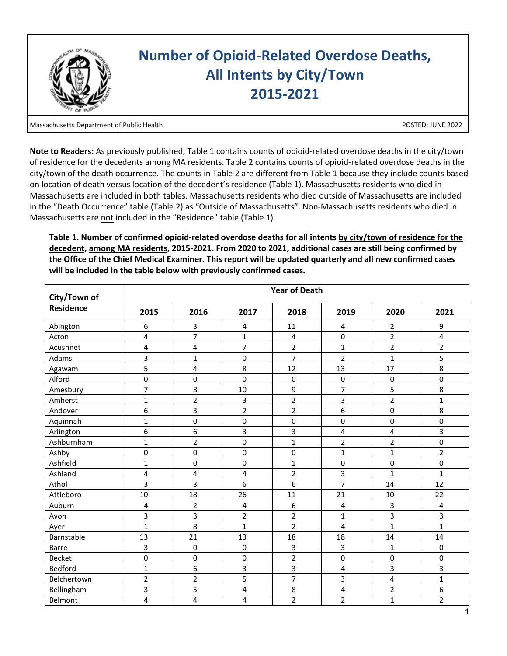

Massachusetts Department of Public Health

POSTED: JUNE 2022

**Note to Readers:** As previously published, Table 1 contains counts of opioid-related overdose deaths in the city/town of residence for the decedents among MA residents. Table 2 contains counts of opioid-related overdose deaths in the city/town of the death occurrence. The counts in Table 2 are different from Table 1 because they include counts based on location of death versus location of the decedent's residence (Table 1). Massachusetts residents who died in Massachusetts are included in both tables. Massachusetts residents who died outside of Massachusetts are included in the "Death Occurrence" table (Table 2) as "Outside of Massachusetts". Non-Massachusetts residents who died in Massachusetts are not included in the "Residence" table (Table 1).

| City/Town of     | <b>Year of Death</b> |                  |                         |                |                         |                |                |  |  |
|------------------|----------------------|------------------|-------------------------|----------------|-------------------------|----------------|----------------|--|--|
| <b>Residence</b> | 2015                 | 2016             | 2017                    | 2018           | 2019                    | 2020           | 2021           |  |  |
| Abington         | 6                    | 3                | 4                       | 11             | 4                       | 2              | 9              |  |  |
| Acton            | 4                    | $\overline{7}$   | $\mathbf{1}$            | 4              | $\pmb{0}$               | $\overline{2}$ | 4              |  |  |
| Acushnet         | 4                    | 4                | $\overline{7}$          | $\overline{2}$ | $\mathbf{1}$            | $\overline{2}$ | $\overline{2}$ |  |  |
| Adams            | 3                    | $\mathbf{1}$     | 0                       | $\overline{7}$ | $\overline{2}$          | $\mathbf{1}$   | 5              |  |  |
| Agawam           | 5                    | 4                | 8                       | 12             | 13                      | 17             | 8              |  |  |
| Alford           | $\mathsf 0$          | $\pmb{0}$        | 0                       | $\mathbf 0$    | 0                       | $\pmb{0}$      | 0              |  |  |
| Amesbury         | $\overline{7}$       | 8                | 10                      | 9              | $\overline{7}$          | 5              | 8              |  |  |
| Amherst          | $\mathbf{1}$         | $\overline{2}$   | 3                       | $\overline{2}$ | 3                       | $\overline{2}$ | $\mathbf{1}$   |  |  |
| Andover          | 6                    | 3                | $\overline{2}$          | $\overline{2}$ | 6                       | $\mathbf 0$    | 8              |  |  |
| Aquinnah         | $\mathbf{1}$         | $\pmb{0}$        | 0                       | $\pmb{0}$      | 0                       | 0              | $\pmb{0}$      |  |  |
| Arlington        | 6                    | $\boldsymbol{6}$ | 3                       | 3              | $\overline{\mathbf{4}}$ | 4              | 3              |  |  |
| Ashburnham       | $\mathbf{1}$         | $\overline{2}$   | 0                       | $\mathbf{1}$   | $\overline{2}$          | $\overline{2}$ | 0              |  |  |
| Ashby            | $\mathsf 0$          | 0                | 0                       | 0              | $\mathbf 1$             | $\mathbf{1}$   | $\overline{2}$ |  |  |
| Ashfield         | 1                    | 0                | 0                       | $\mathbf{1}$   | 0                       | $\pmb{0}$      | 0              |  |  |
| Ashland          | 4                    | 4                | $\overline{\mathbf{4}}$ | $\overline{2}$ | 3                       | $\mathbf{1}$   | $\mathbf{1}$   |  |  |
| Athol            | 3                    | 3                | 6                       | 6              | $\overline{7}$          | 14             | 12             |  |  |
| Attleboro        | 10                   | 18               | 26                      | 11             | 21                      | 10             | 22             |  |  |
| Auburn           | 4                    | $\overline{2}$   | 4                       | 6              | 4                       | 3              | 4              |  |  |
| Avon             | 3                    | 3                | $\overline{2}$          | $\overline{2}$ | $\mathbf{1}$            | 3              | 3              |  |  |
| Ayer             | $\mathbf{1}$         | 8                | $\mathbf{1}$            | $\overline{2}$ | 4                       | $\mathbf{1}$   | $\mathbf{1}$   |  |  |
| Barnstable       | 13                   | 21               | 13                      | 18             | 18                      | 14             | 14             |  |  |
| <b>Barre</b>     | 3                    | $\pmb{0}$        | 0                       | 3              | 3                       | $\mathbf{1}$   | 0              |  |  |
| <b>Becket</b>    | 0                    | $\mathbf 0$      | 0                       | $\overline{2}$ | $\pmb{0}$               | $\pmb{0}$      | 0              |  |  |
| Bedford          | $\mathbf{1}$         | 6                | 3                       | 3              | 4                       | 3              | 3              |  |  |
| Belchertown      | $\overline{2}$       | $\overline{2}$   | 5                       | 7              | 3                       | 4              | $\mathbf 1$    |  |  |
| Bellingham       | 3                    | 5                | 4                       | 8              | 4                       | $\overline{2}$ | 6              |  |  |
| Belmont          | 4                    | 4                | 4                       | $\overline{2}$ | $\overline{2}$          | $\mathbf{1}$   | $\overline{2}$ |  |  |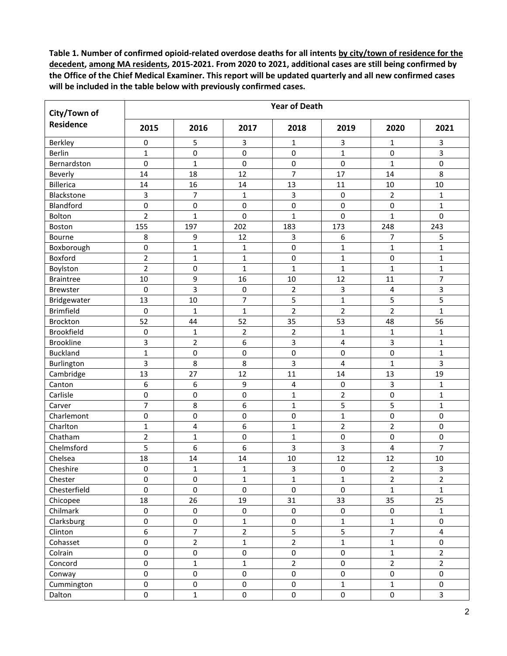| City/Town of     | <b>Year of Death</b> |                |                     |                     |                         |                         |                         |  |  |  |  |
|------------------|----------------------|----------------|---------------------|---------------------|-------------------------|-------------------------|-------------------------|--|--|--|--|
| Residence        | 2015                 | 2016           | 2017                | 2018                | 2019                    | 2020                    | 2021                    |  |  |  |  |
| Berkley          | 0                    | 5              | 3                   | 1                   | 3                       | $\mathbf{1}$            | 3                       |  |  |  |  |
| Berlin           | $\mathbf{1}$         | $\mathsf 0$    | 0                   | $\pmb{0}$           | $\mathbf{1}$            | 0                       | 3                       |  |  |  |  |
| Bernardston      | 0                    | $\mathbf{1}$   | $\pmb{0}$           | 0                   | 0                       | $\mathbf 1$             | 0                       |  |  |  |  |
| Beverly          | 14                   | 18             | 12                  | $\overline{7}$      | 17                      | 14                      | 8                       |  |  |  |  |
| Billerica        | 14                   | 16             | 14                  | 13                  | 11                      | 10                      | 10                      |  |  |  |  |
| Blackstone       | 3                    | $\overline{7}$ | $\mathbf{1}$        | $\mathbf{3}$        | $\pmb{0}$               | $\overline{\mathbf{c}}$ | $\mathbf{1}$            |  |  |  |  |
| Blandford        | 0                    | $\pmb{0}$      | $\mathsf 0$         | 0                   | 0                       | $\mathsf 0$             | $\mathbf{1}$            |  |  |  |  |
| Bolton           | $\overline{2}$       | $\mathbf{1}$   | 0                   | $\mathbf{1}$        | 0                       | $\mathbf{1}$            | 0                       |  |  |  |  |
| Boston           | 155                  | 197            | 202                 | 183                 | 173                     | 248                     | 243                     |  |  |  |  |
| Bourne           | 8                    | 9              | 12                  | 3                   | 6                       | 7                       | 5                       |  |  |  |  |
| Boxborough       | 0                    | 1              | 1                   | 0                   | 1                       | $\mathbf{1}$            | 1                       |  |  |  |  |
| Boxford          | $\overline{2}$       | $\mathbf{1}$   | $\mathbf{1}$        | 0                   | $\mathbf{1}$            | 0                       | $\mathbf 1$             |  |  |  |  |
| Boylston         | $\overline{2}$       | $\pmb{0}$      | $\mathbf{1}$        | $\mathbf{1}$        | $\mathbf{1}$            | $\mathbf{1}$            | $\mathbf{1}$            |  |  |  |  |
| <b>Braintree</b> | 10                   | 9              | 16                  | 10                  | 12                      | 11                      | $\overline{7}$          |  |  |  |  |
| Brewster         | 0                    | 3              | 0                   | $\overline{2}$      | 3                       | 4                       | 3                       |  |  |  |  |
| Bridgewater      | 13                   | 10             | $\overline{7}$      | 5                   | $\mathbf{1}$            | 5                       | 5                       |  |  |  |  |
| <b>Brimfield</b> | $\mathbf 0$          | $\mathbf{1}$   | $\mathbf{1}$        | $\overline{2}$      | $\overline{2}$          | $\overline{2}$          | $\mathbf{1}$            |  |  |  |  |
| Brockton         | 52                   | 44             | 52                  | 35                  | 53                      | 48                      | 56                      |  |  |  |  |
| Brookfield       | 0                    | 1              | $\overline{2}$      | $\overline{2}$      | 1                       | $\mathbf 1$             | 1                       |  |  |  |  |
| <b>Brookline</b> | 3                    | $\overline{2}$ | 6                   | 3                   | $\overline{\mathbf{4}}$ | 3                       | $\mathbf{1}$            |  |  |  |  |
| <b>Buckland</b>  | $\mathbf{1}$         | $\pmb{0}$      | $\pmb{0}$           | $\pmb{0}$           | 0                       | $\mathsf 0$             | $\mathbf{1}$            |  |  |  |  |
| Burlington       | 3                    | 8              | 8                   | 3                   | $\overline{\mathbf{4}}$ | $\mathbf{1}$            | 3                       |  |  |  |  |
| Cambridge        | 13                   | 27             | 12                  | 11                  | 14                      | 13                      | 19                      |  |  |  |  |
| Canton           | 6                    | 6              | 9                   | 4                   | $\pmb{0}$               | 3                       | $\mathbf{1}$            |  |  |  |  |
| Carlisle         | 0                    | $\pmb{0}$      | $\pmb{0}$           | $\mathbf{1}$        | $\overline{2}$          | $\mathsf 0$             | $\mathbf{1}$            |  |  |  |  |
| Carver           | 7                    | 8              | 6                   | $\mathbf{1}$        | 5                       | 5                       | 1                       |  |  |  |  |
| Charlemont       | 0                    | $\pmb{0}$      | 0                   | 0                   | $\mathbf{1}$            | 0                       | 0                       |  |  |  |  |
| Charlton         | $\mathbf 1$          | 4              | 6                   | $\mathbf{1}$        | $\overline{2}$          | 2                       | 0                       |  |  |  |  |
| Chatham          | $\overline{2}$       | $\mathbf{1}$   | 0                   | $\mathbf{1}$        | 0                       | 0                       | 0                       |  |  |  |  |
| Chelmsford       | 5                    | 6              | 6                   | 3                   | 3                       | 4                       | $\overline{7}$          |  |  |  |  |
| Chelsea          | 18                   | 14             | 14                  | 10                  | 12                      | 12                      | $10\,$                  |  |  |  |  |
| Cheshire         | 0                    | $\mathbf{1}$   | $\mathbf{1}$        | 3                   | $\mathbf 0$             | $\overline{\mathbf{c}}$ | 3                       |  |  |  |  |
| Chester          | 0                    | 0              | 1                   | $\mathbf 1$         | $\mathbf{1}$            | $\overline{2}$          | $\overline{2}$          |  |  |  |  |
| Chesterfield     | $\mathbf 0$          | $\pmb{0}$      | $\mathbf 0$         | 0                   | $\pmb{0}$               | $\mathbf{1}$            | $\mathbf{1}$            |  |  |  |  |
| Chicopee         | 18                   | 26             | 19                  | 31                  | 33                      | 35                      | 25                      |  |  |  |  |
| Chilmark         | $\mathsf{O}\xspace$  | $\pmb{0}$      | $\pmb{0}$           | $\mathsf{O}\xspace$ | $\pmb{0}$               | 0                       | $\mathbf{1}$            |  |  |  |  |
| Clarksburg       | 0                    | $\pmb{0}$      | $\mathbf 1$         | $\pmb{0}$           | $\mathbf 1$             | $\mathbf{1}$            | $\pmb{0}$               |  |  |  |  |
| Clinton          | 6                    | $\overline{7}$ | $\overline{2}$      | 5                   | 5                       | $\overline{7}$          | $\overline{\mathbf{4}}$ |  |  |  |  |
| Cohasset         | 0                    | $\overline{2}$ | $\mathbf{1}$        | $\overline{2}$      | $\overline{1}$          | $\mathbf{1}$            | $\pmb{0}$               |  |  |  |  |
| Colrain          | 0                    | $\pmb{0}$      | $\pmb{0}$           | $\mathbf 0$         | $\pmb{0}$               | $\mathbf{1}$            | $\overline{2}$          |  |  |  |  |
| Concord          | 0                    | $\mathbf 1$    | $\mathbf 1$         | $\overline{2}$      | $\mathsf 0$             | $\overline{2}$          | $\overline{2}$          |  |  |  |  |
| Conway           | 0                    | $\pmb{0}$      | $\pmb{0}$           | $\mathbf 0$         | $\pmb{0}$               | $\mathbf 0$             | $\mathsf{O}\xspace$     |  |  |  |  |
| Cummington       | 0                    | $\pmb{0}$      | $\pmb{0}$           | $\mathbf 0$         | $\mathbf 1$             | $\mathbf 1$             | 0                       |  |  |  |  |
| Dalton           | 0                    | $\mathbf 1$    | $\mathsf{O}\xspace$ | $\mathsf{O}\xspace$ | $\pmb{0}$               | $\mathsf{O}$            | $\overline{3}$          |  |  |  |  |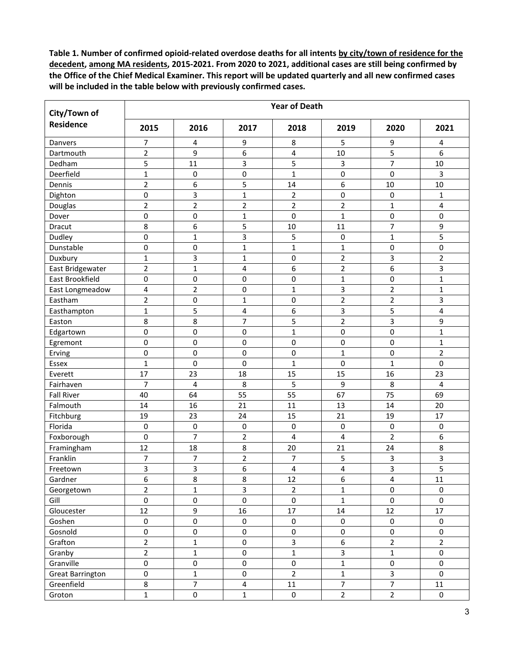| City/Town of                          | <b>Year of Death</b> |                |                         |                |                  |                         |                         |  |  |  |  |
|---------------------------------------|----------------------|----------------|-------------------------|----------------|------------------|-------------------------|-------------------------|--|--|--|--|
| <b>Residence</b>                      | 2015                 | 2016           | 2017                    | 2018           | 2019             | 2020                    | 2021                    |  |  |  |  |
| Danvers                               | 7                    | 4              | 9                       | 8              | 5                | 9                       | 4                       |  |  |  |  |
| Dartmouth                             | $\overline{2}$       | 9              | 6                       | 4              | 10               | 5                       | 6                       |  |  |  |  |
| Dedham                                | 5                    | 11             | 3                       | 5              | 3                | $\overline{7}$          | 10                      |  |  |  |  |
| Deerfield                             | $\mathbf{1}$         | $\pmb{0}$      | $\pmb{0}$               | $\mathbf{1}$   | $\pmb{0}$        | 0                       | 3                       |  |  |  |  |
| Dennis                                | $\overline{2}$       | 6              | 5                       | 14             | 6                | 10                      | 10                      |  |  |  |  |
| Dighton                               | $\pmb{0}$            | 3              | $\mathbf{1}$            | $\overline{2}$ | $\pmb{0}$        | 0                       | 1                       |  |  |  |  |
| Douglas                               | $\overline{2}$       | $\overline{2}$ | $\overline{2}$          | $\overline{2}$ | $\mathbf 2$      | $\mathbf{1}$            | $\overline{\mathbf{4}}$ |  |  |  |  |
| Dover                                 | $\pmb{0}$            | $\pmb{0}$      | $\mathbf{1}$            | 0              | $\mathbf{1}$     | $\mathbf 0$             | 0                       |  |  |  |  |
| Dracut                                | 8                    | 6              | 5                       | 10             | 11               | $\overline{7}$          | 9                       |  |  |  |  |
| Dudley                                | $\mathbf 0$          | $\mathbf{1}$   | 3                       | 5              | $\pmb{0}$        | $\mathbf{1}$            | 5                       |  |  |  |  |
| Dunstable                             | 0                    | $\pmb{0}$      | $\mathbf{1}$            | $\mathbf{1}$   | $\mathbf{1}$     | 0                       | 0                       |  |  |  |  |
| Duxbury                               | $\mathbf{1}$         | 3              | $\mathbf{1}$            | 0              | $\mathbf 2$      | 3                       | $\overline{2}$          |  |  |  |  |
| East Bridgewater                      | $\overline{2}$       | $\overline{1}$ | $\overline{\mathbf{4}}$ | 6              | $\overline{2}$   | 6                       | 3                       |  |  |  |  |
| East Brookfield                       | $\pmb{0}$            | $\pmb{0}$      | $\pmb{0}$               | $\pmb{0}$      | $\mathbf{1}$     | $\pmb{0}$               | $\mathbf{1}$            |  |  |  |  |
| East Longmeadow                       | 4                    | $\overline{2}$ | $\pmb{0}$               | $\mathbf{1}$   | $\mathsf{3}$     | $\overline{c}$          | $\mathbf{1}$            |  |  |  |  |
| Eastham                               | $\overline{2}$       | $\mathbf 0$    | $\mathbf{1}$            | 0              | $\overline{2}$   | $\overline{2}$          | 3                       |  |  |  |  |
| Easthampton                           | $\mathbf 1$          | 5              | $\overline{\mathbf{4}}$ | 6              | 3                | 5                       | 4                       |  |  |  |  |
| Easton                                | 8                    | 8              | $\overline{7}$          | 5              | $\mathbf 2$      | 3                       | 9                       |  |  |  |  |
| Edgartown                             | 0                    | 0              | 0                       | 1              | $\pmb{0}$        | 0                       | $\mathbf{1}$            |  |  |  |  |
| Egremont                              | 0                    | $\pmb{0}$      | $\pmb{0}$               | 0              | $\mathbf 0$      | 0                       | $\mathbf{1}$            |  |  |  |  |
| Erving                                | $\pmb{0}$            | $\pmb{0}$      | $\pmb{0}$               | 0              | $\mathbf 1$      | 0                       | $\overline{2}$          |  |  |  |  |
| Essex                                 | $\mathbf 1$          | $\pmb{0}$      | 0                       | $\mathbf{1}$   | 0                | $\mathbf 1$             | 0                       |  |  |  |  |
| Everett                               | 17                   | 23             | 18                      | 15             | 15               | 16                      | 23                      |  |  |  |  |
| Fairhaven                             | 7                    | 4              | 8                       | 5              | 9                | 8                       | $\overline{4}$          |  |  |  |  |
| <b>Fall River</b>                     | 40                   | 64             | 55                      | 55             | 67               | 75                      | 69                      |  |  |  |  |
| Falmouth                              | 14                   | 16             | 21                      | 11             | 13               | 14                      | 20                      |  |  |  |  |
| Fitchburg                             | 19                   | 23             | 24                      | 15             | 21               | 19                      | 17                      |  |  |  |  |
| Florida                               | $\pmb{0}$            | 0              | $\pmb{0}$               | 0              | 0                | $\pmb{0}$               | 0                       |  |  |  |  |
| Foxborough                            | $\pmb{0}$            | $\overline{7}$ | $\overline{2}$          | 4              | 4                | $\overline{2}$          | 6                       |  |  |  |  |
| Framingham                            | 12                   | 18             | 8                       | 20             | 21               | 24                      | 8                       |  |  |  |  |
| Franklin                              | 7                    | 7              | $\overline{2}$          | 7              | 5                | 3                       | 3                       |  |  |  |  |
| Freetown                              | $\overline{3}$       | 3              | 6                       | 4              | 4                | $\overline{3}$          | 5                       |  |  |  |  |
| Gardner                               | 6                    | 8              | 8                       | 12             | 6                | $\overline{\mathbf{4}}$ | $11\,$                  |  |  |  |  |
| Georgetown                            | $\overline{2}$       | 1              | $\overline{\mathbf{3}}$ | $\overline{2}$ | $\mathbf{1}$     | 0                       | 0                       |  |  |  |  |
| Gill                                  | $\pmb{0}$            | $\pmb{0}$      | $\pmb{0}$               | $\pmb{0}$      | $\mathbf{1}$     | $\pmb{0}$               | $\pmb{0}$               |  |  |  |  |
| Gloucester                            | 12                   | 9              | 16                      | 17             | 14               | 12                      | 17                      |  |  |  |  |
| Goshen                                | 0                    | $\pmb{0}$      | $\pmb{0}$               | $\mathbf 0$    | $\pmb{0}$        | 0                       | 0                       |  |  |  |  |
| Gosnold                               | $\pmb{0}$            | $\pmb{0}$      | $\pmb{0}$               | $\pmb{0}$      | $\mathsf 0$      | $\pmb{0}$               | 0                       |  |  |  |  |
| Grafton                               | $\overline{2}$       | $\mathbf 1$    | $\pmb{0}$               | 3              | $\boldsymbol{6}$ | $\overline{2}$          | $\overline{2}$          |  |  |  |  |
| Granby                                | $\overline{2}$       | $\mathbf 1$    | $\mathsf 0$             | $\mathbf 1$    | $\mathsf 3$      | $\mathbf 1$             | $\pmb{0}$               |  |  |  |  |
| Granville                             | $\pmb{0}$            | $\pmb{0}$      | $\pmb{0}$               | 0              | $\mathbf{1}$     | $\pmb{0}$               | 0                       |  |  |  |  |
|                                       | $\pmb{0}$            | $\mathbf 1$    | $\pmb{0}$               | $\overline{2}$ | $\mathbf 1$      | 3                       | 0                       |  |  |  |  |
| <b>Great Barrington</b><br>Greenfield | 8                    | $\overline{7}$ | $\overline{\mathbf{4}}$ | $11\,$         | $\overline{7}$   | $\overline{7}$          | $11\,$                  |  |  |  |  |
| Groton                                | $\mathbf 1$          | $\pmb{0}$      | $\mathbf{1}$            | $\mathbf 0$    | $\overline{2}$   | $\overline{2}$          | $\mathbf 0$             |  |  |  |  |
|                                       |                      |                |                         |                |                  |                         |                         |  |  |  |  |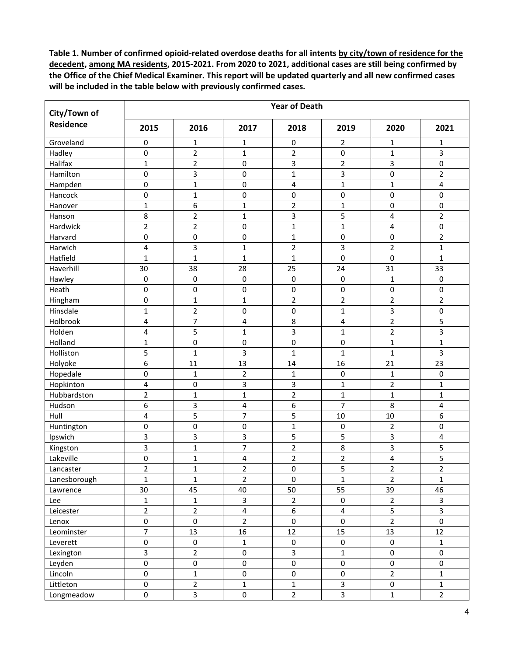| City/Town of     | <b>Year of Death</b> |                         |                         |                  |                         |                     |                     |  |  |  |  |
|------------------|----------------------|-------------------------|-------------------------|------------------|-------------------------|---------------------|---------------------|--|--|--|--|
| <b>Residence</b> | 2015                 | 2016                    | 2017                    | 2018             | 2019                    | 2020                | 2021                |  |  |  |  |
| Groveland        | 0                    | $\mathbf{1}$            | $\mathbf 1$             | 0                | $\overline{2}$          | 1                   | 1                   |  |  |  |  |
| Hadley           | 0                    | $\overline{2}$          | $\mathbf 1$             | $\overline{2}$   | $\pmb{0}$               | $\mathbf{1}$        | 3                   |  |  |  |  |
| Halifax          | $\mathbf 1$          | $\mathbf 2$             | $\pmb{0}$               | 3                | $\mathbf 2$             | 3                   | 0                   |  |  |  |  |
| Hamilton         | 0                    | 3                       | $\pmb{0}$               | $\mathbf{1}$     | 3                       | 0                   | $\overline{2}$      |  |  |  |  |
| Hampden          | 0                    | $\mathbf{1}$            | $\pmb{0}$               | 4                | $\mathbf{1}$            | $\mathbf 1$         | 4                   |  |  |  |  |
| Hancock          | 0                    | $\mathbf{1}$            | 0                       | 0                | $\pmb{0}$               | 0                   | 0                   |  |  |  |  |
| Hanover          | $\mathbf 1$          | 6                       | $\mathbf 1$             | $\overline{2}$   | $\mathbf{1}$            | 0                   | 0                   |  |  |  |  |
| Hanson           | 8                    | $\overline{2}$          | $\mathbf{1}$            | 3                | 5                       | 4                   | $\overline{2}$      |  |  |  |  |
| Hardwick         | $\overline{2}$       | $\overline{2}$          | $\pmb{0}$               | $\mathbf{1}$     | 1                       | 4                   | 0                   |  |  |  |  |
| Harvard          | 0                    | 0                       | $\pmb{0}$               | $\mathbf{1}$     | $\pmb{0}$               | 0                   | $\overline{2}$      |  |  |  |  |
| Harwich          | 4                    | 3                       | $\mathbf{1}$            | $\overline{2}$   | 3                       | $\overline{2}$      | $\mathbf{1}$        |  |  |  |  |
| Hatfield         | $\mathbf{1}$         | $\mathbf{1}$            | $\mathbf{1}$            | $\mathbf{1}$     | $\mathbf 0$             | 0                   | $\mathbf{1}$        |  |  |  |  |
| Haverhill        | 30                   | 38                      | 28                      | 25               | 24                      | 31                  | 33                  |  |  |  |  |
| Hawley           | 0                    | $\pmb{0}$               | $\pmb{0}$               | $\boldsymbol{0}$ | $\pmb{0}$               | $\mathbf 1$         | $\pmb{0}$           |  |  |  |  |
| Heath            | 0                    | $\pmb{0}$               | $\mathsf 0$             | 0                | $\pmb{0}$               | $\mathsf 0$         | 0                   |  |  |  |  |
| Hingham          | 0                    | $\mathbf{1}$            | $\mathbf{1}$            | $\overline{2}$   | $\overline{2}$          | $\overline{2}$      | $\overline{2}$      |  |  |  |  |
| Hinsdale         | $\mathbf 1$          | 2                       | 0                       | $\pmb{0}$        | 1                       | 3                   | 0                   |  |  |  |  |
| Holbrook         | 4                    | 7                       | $\overline{\mathbf{4}}$ | 8                | 4                       | $\overline{2}$      | 5                   |  |  |  |  |
| Holden           | 4                    | 5                       | $\mathbf 1$             | 3                | $\mathbf 1$             | $\overline{2}$      | 3                   |  |  |  |  |
| Holland          | $\mathbf 1$          | $\pmb{0}$               | $\mathbf 0$             | 0                | $\mathbf 0$             | $\mathbf{1}$        | $\mathbf{1}$        |  |  |  |  |
| Holliston        | 5                    | $\mathbf{1}$            | 3                       | $\mathbf{1}$     | $\mathbf{1}$            | $\mathbf{1}$        | 3                   |  |  |  |  |
| Holyoke          | 6                    | 11                      | 13                      | 14               | 16                      | 21                  | 23                  |  |  |  |  |
| Hopedale         | 0                    | $\mathbf{1}$            | $\mathbf 2$             | 1                | $\pmb{0}$               | 1                   | $\pmb{0}$           |  |  |  |  |
| Hopkinton        | 4                    | $\pmb{0}$               | 3                       | 3                | $\mathbf{1}$            | $\overline{2}$      | $\mathbf{1}$        |  |  |  |  |
| Hubbardston      | $\overline{2}$       | $\mathbf{1}$            | $\mathbf{1}$            | $\overline{2}$   | $\mathbf 1$             | $\mathbf{1}$        | $\mathbf{1}$        |  |  |  |  |
| Hudson           | 6                    | 3                       | $\overline{\mathbf{4}}$ | 6                | $\overline{7}$          | 8                   | 4                   |  |  |  |  |
| Hull             | 4                    | 5                       | $\overline{7}$          | 5                | 10                      | 10                  | 6                   |  |  |  |  |
| Huntington       | 0                    | $\pmb{0}$               | $\mathsf 0$             | $\mathbf{1}$     | 0                       | $\overline{2}$      | 0                   |  |  |  |  |
| Ipswich          | 3                    | 3                       | 3                       | 5                | 5                       | 3                   | 4                   |  |  |  |  |
| Kingston         | 3                    | $\mathbf{1}$            | $\overline{7}$          | $\overline{2}$   | 8                       | 3                   | 5                   |  |  |  |  |
| Lakeville        | $\pmb{0}$            | $\mathbf{1}$            | $\overline{\mathbf{4}}$ | $\overline{2}$   | $\mathbf 2$             | 4                   | 5                   |  |  |  |  |
| Lancaster        | $\overline{2}$       | $\mathbf{1}$            | $\mathbf 2$             | 0                | 5                       | $\overline{c}$      | $\overline{2}$      |  |  |  |  |
| Lanesborough     | $\mathbf 1$          | $\mathbf{1}$            | $\overline{2}$          | $\mathbf 0$      | $\mathbf{1}$            | $\overline{2}$      | $\mathbf 1$         |  |  |  |  |
| Lawrence         | $30\,$               | 45                      | 40                      | 50               | 55                      | 39                  | 46                  |  |  |  |  |
| Lee              | $\mathbf 1$          | $\mathbf{1}$            | $\overline{3}$          | $\overline{2}$   | $\pmb{0}$               | $\overline{2}$      | $\mathbf{3}$        |  |  |  |  |
| Leicester        | $\overline{2}$       | $\overline{2}$          | $\overline{\mathbf{4}}$ | 6                | $\pmb{4}$               | 5                   | 3                   |  |  |  |  |
| Lenox            | $\pmb{0}$            | $\pmb{0}$               | $\overline{2}$          | $\mathbf 0$      | $\pmb{0}$               | $\overline{2}$      | $\pmb{0}$           |  |  |  |  |
| Leominster       | $\overline{7}$       | 13                      | 16                      | 12               | 15                      | 13                  | 12                  |  |  |  |  |
| Leverett         | $\pmb{0}$            | $\pmb{0}$               | $\mathbf 1$             | $\pmb{0}$        | $\mathsf 0$             | $\pmb{0}$           | $\mathbf{1}$        |  |  |  |  |
| Lexington        | 3                    | $\overline{2}$          | $\pmb{0}$               | 3                | $\mathbf 1$             | 0                   | $\mathsf{O}\xspace$ |  |  |  |  |
| Leyden           | $\pmb{0}$            | $\pmb{0}$               | $\pmb{0}$               | $\pmb{0}$        | $\mathsf{O}\xspace$     | 0                   | $\mathsf{O}\xspace$ |  |  |  |  |
| Lincoln          | $\pmb{0}$            | $\mathbf{1}$            | $\pmb{0}$               | $\pmb{0}$        | $\pmb{0}$               | $\overline{2}$      | $\mathbf 1$         |  |  |  |  |
| Littleton        | $\pmb{0}$            | $\overline{2}$          | $\mathbf 1$             | $\mathbf 1$      | $\mathbf{3}$            | $\mathsf{O}\xspace$ | $\mathbf 1$         |  |  |  |  |
| Longmeadow       | $\mathsf{O}\xspace$  | $\overline{\mathbf{3}}$ | $\mathsf{O}\xspace$     | $\overline{2}$   | $\overline{\mathbf{3}}$ | $\mathbf 1$         | $\overline{2}$      |  |  |  |  |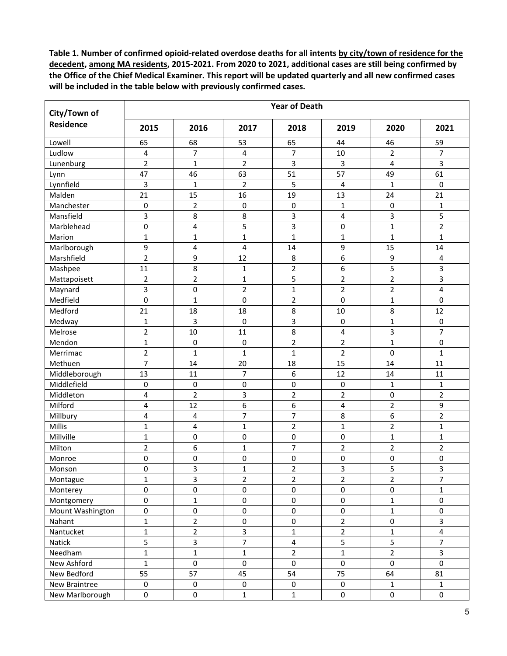| City/Town of     | <b>Year of Death</b>    |                |                         |                         |                  |                |                         |  |  |  |  |
|------------------|-------------------------|----------------|-------------------------|-------------------------|------------------|----------------|-------------------------|--|--|--|--|
| <b>Residence</b> | 2015                    | 2016           | 2017                    | 2018                    | 2019             | 2020           | 2021                    |  |  |  |  |
| Lowell           | 65                      | 68             | 53                      | 65                      | 44               | 46             | 59                      |  |  |  |  |
| Ludlow           | 4                       | 7              | 4                       | $\overline{7}$          | 10               | $\overline{2}$ | $\overline{7}$          |  |  |  |  |
| Lunenburg        | $\overline{2}$          | $\mathbf{1}$   | $\overline{2}$          | 3                       | 3                | 4              | 3                       |  |  |  |  |
| Lynn             | 47                      | 46             | 63                      | 51                      | 57               | 49             | 61                      |  |  |  |  |
| Lynnfield        | 3                       | 1              | $\overline{2}$          | 5                       | 4                | 1              | 0                       |  |  |  |  |
| Malden           | 21                      | 15             | 16                      | 19                      | 13               | 24             | 21                      |  |  |  |  |
| Manchester       | 0                       | $\overline{2}$ | 0                       | $\pmb{0}$               | $\mathbf{1}$     | 0              | $\mathbf{1}$            |  |  |  |  |
| Mansfield        | 3                       | 8              | 8                       | 3                       | $\pmb{4}$        | 3              | 5                       |  |  |  |  |
| Marblehead       | $\pmb{0}$               | 4              | 5                       | 3                       | $\pmb{0}$        | $\mathbf{1}$   | $\overline{2}$          |  |  |  |  |
| Marion           | $\mathbf 1$             | $\mathbf{1}$   | $\mathbf{1}$            | $\mathbf{1}$            | $\mathbf{1}$     | $\mathbf{1}$   | $\mathbf{1}$            |  |  |  |  |
| Marlborough      | 9                       | 4              | 4                       | 14                      | 9                | 15             | 14                      |  |  |  |  |
| Marshfield       | $\overline{2}$          | 9              | 12                      | 8                       | 6                | 9              | 4                       |  |  |  |  |
| Mashpee          | 11                      | 8              | $\mathbf{1}$            | $\overline{2}$          | $\boldsymbol{6}$ | 5              | 3                       |  |  |  |  |
| Mattapoisett     | $\overline{2}$          | $\overline{c}$ | $\mathbf{1}$            | 5                       | $\overline{2}$   | $\overline{2}$ | 3                       |  |  |  |  |
| Maynard          | 3                       | 0              | $\overline{2}$          | $\mathbf 1$             | $\mathbf 2$      | $\overline{2}$ | 4                       |  |  |  |  |
| Medfield         | $\mathbf 0$             | $\overline{1}$ | $\mathbf 0$             | $\overline{2}$          | $\pmb{0}$        | $\mathbf{1}$   | 0                       |  |  |  |  |
| Medford          | 21                      | 18             | 18                      | 8                       | 10               | 8              | 12                      |  |  |  |  |
| Medway           | $\mathbf{1}$            | 3              | 0                       | 3                       | $\pmb{0}$        | $\mathbf{1}$   | $\pmb{0}$               |  |  |  |  |
| Melrose          | $\overline{2}$          | 10             | 11                      | 8                       | $\pmb{4}$        | 3              | 7                       |  |  |  |  |
| Mendon           | $\mathbf 1$             | 0              | 0                       | $\overline{2}$          | $\overline{2}$   | $\mathbf{1}$   | 0                       |  |  |  |  |
| Merrimac         | $\overline{2}$          | $\mathbf{1}$   | 1                       | $\mathbf{1}$            | $\overline{2}$   | $\pmb{0}$      | $\mathbf{1}$            |  |  |  |  |
| Methuen          | $\overline{7}$          | 14             | 20                      | 18                      | 15               | 14             | 11                      |  |  |  |  |
| Middleborough    | 13                      | 11             | 7                       | 6                       | 12               | 14             | 11                      |  |  |  |  |
| Middlefield      | 0                       | $\mathbf 0$    | $\pmb{0}$               | 0                       | $\mathbf 0$      | $\mathbf{1}$   | $\mathbf{1}$            |  |  |  |  |
| Middleton        | 4                       | $\overline{2}$ | 3                       | $\overline{2}$          | $\overline{2}$   | $\pmb{0}$      | $\overline{2}$          |  |  |  |  |
| Milford          | 4                       | 12             | 6                       | 6                       | 4                | $\overline{2}$ | 9                       |  |  |  |  |
| Millbury         | $\overline{\mathbf{4}}$ | 4              | $\overline{7}$          | $\overline{7}$          | 8                | 6              | $\overline{2}$          |  |  |  |  |
| Millis           | $\mathbf{1}$            | 4              | $\mathbf{1}$            | $\overline{2}$          | $\mathbf{1}$     | $\overline{2}$ | $\mathbf{1}$            |  |  |  |  |
| Millville        | $\mathbf{1}$            | 0              | $\pmb{0}$               | 0                       | $\pmb{0}$        | $\mathbf{1}$   | $\mathbf{1}$            |  |  |  |  |
| Milton           | $\overline{2}$          | 6              | $\mathbf{1}$            | $\overline{7}$          | $\overline{2}$   | $\overline{2}$ | $\overline{2}$          |  |  |  |  |
| Monroe           | $\pmb{0}$               | 0              | $\pmb{0}$               | 0                       | $\pmb{0}$        | $\mathsf 0$    | 0                       |  |  |  |  |
|                  | $\mathbf 0$             | 3              | $\mathbf{1}$            | $\overline{2}$          | 3                | 5              | 3                       |  |  |  |  |
| Monson           | $\mathbf 1$             |                | $\overline{2}$          | $\overline{2}$          | $\overline{2}$   | $\overline{2}$ | $\overline{7}$          |  |  |  |  |
| Montague         |                         | 3              |                         |                         |                  |                |                         |  |  |  |  |
| Monterey         | $\pmb{0}$               | 0              | $\pmb{0}$               | 0                       | $\pmb{0}$        | 0              | 1                       |  |  |  |  |
| Montgomery       | $\pmb{0}$               | $\mathbf{1}$   | $\pmb{0}$               | $\pmb{0}$               | $\pmb{0}$        | $\mathbf{1}$   | $\pmb{0}$               |  |  |  |  |
| Mount Washington | $\mathsf{O}\xspace$     | $\pmb{0}$      | $\pmb{0}$               | $\pmb{0}$               | $\pmb{0}$        | $\mathbf{1}$   | 0                       |  |  |  |  |
| Nahant           | $\mathbf 1$             | $\overline{2}$ | $\pmb{0}$               | $\pmb{0}$               | $\mathbf 2$      | 0              | 3                       |  |  |  |  |
| Nantucket        | $\mathbf 1$             | $\overline{2}$ | $\overline{\mathbf{3}}$ | $\mathbf 1$             | $\overline{2}$   | $\mathbf{1}$   | $\overline{\mathbf{4}}$ |  |  |  |  |
| Natick           | 5                       | 3              | $\overline{7}$          | $\overline{\mathbf{4}}$ | $\overline{5}$   | 5              | $\overline{7}$          |  |  |  |  |
| Needham          | $\mathbf 1$             | $\mathbf{1}$   | $\mathbf 1$             | $\overline{2}$          | $\mathbf 1$      | $\overline{2}$ | 3                       |  |  |  |  |
| New Ashford      | $\mathbf{1}$            | $\pmb{0}$      | $\pmb{0}$               | $\mathbf 0$             | $\pmb{0}$        | $\mathbf 0$    | $\pmb{0}$               |  |  |  |  |
| New Bedford      | 55                      | 57             | 45                      | 54                      | 75               | 64             | 81                      |  |  |  |  |
| New Braintree    | $\pmb{0}$               | $\mathbf 0$    | $\pmb{0}$               | $\mathsf{O}\xspace$     | $\pmb{0}$        | $\mathbf 1$    | $\mathbf{1}$            |  |  |  |  |
| New Marlborough  | $\pmb{0}$               | 0              | $\mathbf{1}$            | $\mathbf 1$             | $\pmb{0}$        | $\pmb{0}$      | 0                       |  |  |  |  |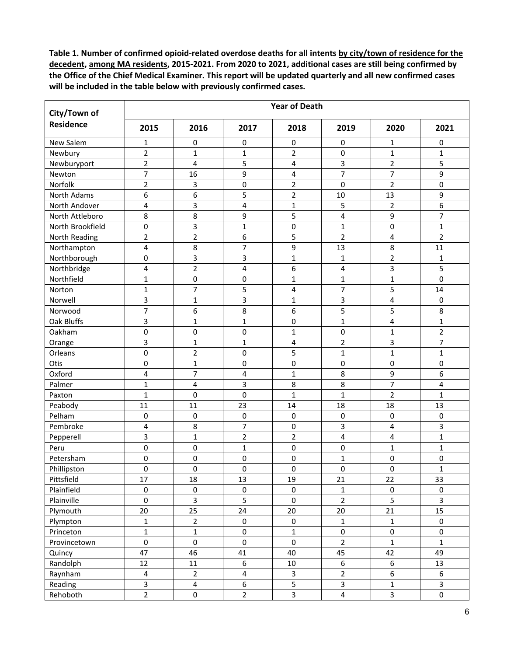| City/Town of     | <b>Year of Death</b>    |                |                         |                         |                         |                  |                         |  |  |  |  |
|------------------|-------------------------|----------------|-------------------------|-------------------------|-------------------------|------------------|-------------------------|--|--|--|--|
| <b>Residence</b> | 2015                    | 2016           | 2017                    | 2018                    | 2019                    | 2020             | 2021                    |  |  |  |  |
| New Salem        | 1                       | 0              | 0                       | 0                       | $\mathbf 0$             | 1                | 0                       |  |  |  |  |
| Newbury          | $\overline{2}$          | 1              | $\mathbf{1}$            | $\overline{2}$          | $\pmb{0}$               | $\mathbf{1}$     | $\mathbf{1}$            |  |  |  |  |
| Newburyport      | $\overline{2}$          | 4              | 5                       | 4                       | 3                       | $\overline{2}$   | 5                       |  |  |  |  |
| Newton           | $\overline{7}$          | 16             | 9                       | 4                       | $\overline{7}$          | $\overline{7}$   | 9                       |  |  |  |  |
| Norfolk          | $\overline{2}$          | 3              | $\pmb{0}$               | $\overline{2}$          | $\mathbf 0$             | $\overline{2}$   | 0                       |  |  |  |  |
| North Adams      | 6                       | 6              | 5                       | $\overline{2}$          | 10                      | 13               | 9                       |  |  |  |  |
| North Andover    | 4                       | 3              | 4                       | $\mathbf{1}$            | 5                       | $\overline{2}$   | 6                       |  |  |  |  |
| North Attleboro  | 8                       | 8              | 9                       | 5                       | 4                       | 9                | 7                       |  |  |  |  |
| North Brookfield | $\pmb{0}$               | 3              | $\mathbf{1}$            | $\pmb{0}$               | $\mathbf{1}$            | 0                | $\mathbf{1}$            |  |  |  |  |
| North Reading    | $\overline{2}$          | $\overline{2}$ | 6                       | 5                       | $\overline{2}$          | 4                | $\overline{2}$          |  |  |  |  |
| Northampton      | 4                       | 8              | $\overline{7}$          | 9                       | 13                      | 8                | 11                      |  |  |  |  |
| Northborough     | $\pmb{0}$               | 3              | 3                       | $\mathbf{1}$            | 1                       | $\overline{2}$   | 1                       |  |  |  |  |
| Northbridge      | $\overline{\mathbf{4}}$ | $\overline{c}$ | 4                       | 6                       | 4                       | 3                | 5                       |  |  |  |  |
| Northfield       | $\mathbf{1}$            | 0              | 0                       | $\mathbf{1}$            | $\mathbf{1}$            | $\mathbf 1$      | 0                       |  |  |  |  |
| Norton           | $\mathbf 1$             | $\overline{7}$ | 5                       | 4                       | $\overline{7}$          | 5                | 14                      |  |  |  |  |
| Norwell          | 3                       | $\mathbf{1}$   | 3                       | $\mathbf{1}$            | 3                       | 4                | $\mathbf 0$             |  |  |  |  |
| Norwood          | $\overline{7}$          | 6              | 8                       | 6                       | 5                       | 5                | 8                       |  |  |  |  |
| Oak Bluffs       | 3                       | $\mathbf{1}$   | $\mathbf{1}$            | 0                       | $\mathbf{1}$            | 4                | $\mathbf{1}$            |  |  |  |  |
| Oakham           | $\pmb{0}$               | 0              | $\mathbf 0$             | $\mathbf{1}$            | $\mathbf 0$             | $\mathbf{1}$     | $\overline{2}$          |  |  |  |  |
| Orange           | 3                       | $\mathbf{1}$   | $\mathbf{1}$            | 4                       | $\overline{2}$          | 3                | $\overline{7}$          |  |  |  |  |
| Orleans          | 0                       | $\overline{2}$ | $\mathbf 0$             | 5                       | $\mathbf{1}$            | $\mathbf{1}$     | $\mathbf{1}$            |  |  |  |  |
| Otis             | $\pmb{0}$               | $\mathbf{1}$   | $\pmb{0}$               | 0                       | $\pmb{0}$               | $\mathsf 0$      | 0                       |  |  |  |  |
| Oxford           | $\overline{\mathbf{4}}$ | $\overline{7}$ | 4                       | $\mathbf{1}$            | 8                       | 9                | 6                       |  |  |  |  |
| Palmer           | $\mathbf{1}$            | 4              | 3                       | 8                       | 8                       | $\overline{7}$   | 4                       |  |  |  |  |
| Paxton           | $\mathbf{1}$            | 0              | $\mathbf 0$             | $\mathbf{1}$            | 1                       | $\overline{2}$   | $\mathbf{1}$            |  |  |  |  |
| Peabody          | 11                      | 11             | 23                      | 14                      | 18                      | 18               | 13                      |  |  |  |  |
| Pelham           | 0                       | 0              | $\pmb{0}$               | 0                       | $\pmb{0}$               | 0                | 0                       |  |  |  |  |
| Pembroke         | 4                       | 8              | $\overline{7}$          | $\pmb{0}$               | 3                       | 4                | 3                       |  |  |  |  |
| Pepperell        | 3                       | $\mathbf{1}$   | $\overline{2}$          | $\overline{2}$          | 4                       | 4                | $\mathbf{1}$            |  |  |  |  |
| Peru             | $\pmb{0}$               | $\pmb{0}$      | $\mathbf{1}$            | 0                       | $\pmb{0}$               | $\mathbf 1$      | $\mathbf{1}$            |  |  |  |  |
| Petersham        | 0                       | 0              | 0                       | 0                       | $\mathbf 1$             | 0                | 0                       |  |  |  |  |
| Phillipston      | $\pmb{0}$               | 0              | $\mathbf 0$             | $\pmb{0}$               | 0                       | 0                | $\mathbf{1}$            |  |  |  |  |
| Pittsfield       | 17                      | 18             | 13                      | 19                      | 21                      | 22               | 33                      |  |  |  |  |
| Plainfield       | $\pmb{0}$               | $\mathbf 0$    | $\pmb{0}$               | $\mathsf{O}\xspace$     | $\mathbf 1$             | $\pmb{0}$        | $\mathsf{O}\xspace$     |  |  |  |  |
| Plainville       | $\pmb{0}$               | 3              | 5                       | $\mathsf{O}\xspace$     | $\overline{2}$          | 5                | $\overline{\mathbf{3}}$ |  |  |  |  |
| Plymouth         | 20                      | 25             | 24                      | 20                      | 20                      | 21               | 15                      |  |  |  |  |
| Plympton         | $\mathbf 1$             | $\overline{2}$ | $\pmb{0}$               | $\pmb{0}$               | $\mathbf 1$             | $\mathbf 1$      | 0                       |  |  |  |  |
| Princeton        | $\mathbf 1$             | $\mathbf{1}$   | $\pmb{0}$               | $\mathbf 1$             | $\mathsf 0$             | $\pmb{0}$        | 0                       |  |  |  |  |
| Provincetown     | $\pmb{0}$               | $\pmb{0}$      | $\pmb{0}$               | $\pmb{0}$               | $\mathbf 2$             | $\mathbf 1$      | $\mathbf 1$             |  |  |  |  |
| Quincy           | 47                      | 46             | 41                      | 40                      | 45                      | 42               | 49                      |  |  |  |  |
| Randolph         | 12                      | 11             | $\boldsymbol{6}$        | $10\,$                  | $\boldsymbol{6}$        | $\boldsymbol{6}$ | 13                      |  |  |  |  |
| Raynham          | $\overline{\mathbf{4}}$ | $\overline{2}$ | $\overline{\mathbf{4}}$ | $\mathbf{3}$            | $\overline{2}$          | 6                | $\boldsymbol{6}$        |  |  |  |  |
| Reading          | $\mathbf{3}$            | 4              | 6                       | 5                       | $\mathsf{3}$            | $\mathbf{1}$     | 3                       |  |  |  |  |
| Rehoboth         | $\overline{2}$          | 0              | $\overline{2}$          | $\overline{\mathbf{3}}$ | $\overline{\mathbf{4}}$ | $\overline{3}$   | $\pmb{0}$               |  |  |  |  |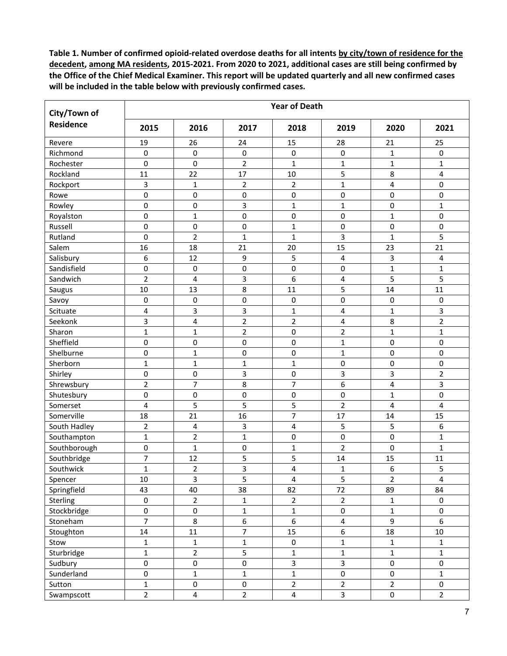| <b>Residence</b><br>2015<br>2016<br>2020<br>2021<br>2017<br>2018<br>2019<br>19<br>26<br>24<br>28<br>21<br>25<br>Revere<br>15<br>Richmond<br>0<br>0<br>0<br>0<br>1<br>0<br>0<br>$\overline{2}$<br>0<br>$\mathbf 0$<br>$\mathbf{1}$<br>$\mathbf{1}$<br>$\mathbf{1}$<br>$\mathbf{1}$<br>Rochester<br>17<br>11<br>22<br>10<br>5<br>8<br>Rockland<br>4<br>$\mathbf{1}$<br>4<br>0<br>Rockport<br>$\mathbf{1}$<br>$\overline{2}$<br>3<br>2<br>Rowe<br>0<br>$\pmb{0}$<br>0<br>0<br>$\pmb{0}$<br>0<br>0<br>3<br>0<br>$\mathbf 0$<br>$\mathbf 1$<br>Rowley<br>$\mathbf{1}$<br>0<br>$\mathbf 1$<br>$\mathbf{1}$<br>$\mathbf 0$<br>0<br>0<br>$\pmb{0}$<br>$\mathbf{1}$<br>0<br>Royalston<br>0<br>0<br>0<br>Russell<br>$\pmb{0}$<br>$\mathbf{1}$<br>0<br>0<br>$\overline{2}$<br>3<br>5<br>Rutland<br>0<br>$\mathbf{1}$<br>$\mathbf{1}$<br>$\mathbf{1}$<br>15<br>16<br>23<br>21<br>Salem<br>18<br>21<br>20<br>3<br>Salisbury<br>6<br>12<br>9<br>5<br>4<br>4<br>$\pmb{0}$<br>0<br>$\mathbf{1}$<br>Sandisfield<br>0<br>$\pmb{0}$<br>$\mathbf{1}$<br>$\pmb{0}$<br>$\overline{2}$<br>3<br>6<br>5<br>5<br>Sandwich<br>$\overline{\mathbf{4}}$<br>4<br>8<br>5<br>10<br>13<br>11<br>14<br>11<br>Saugus<br>0<br>0<br>Savoy<br>0<br>$\pmb{0}$<br>$\pmb{0}$<br>0<br>$\pmb{0}$<br>3<br>3<br>Scituate<br>4<br>$\mathbf{1}$<br>4<br>$\mathbf{1}$<br>3<br>$\mathbf 2$<br>3<br>$\overline{2}$<br>$\overline{2}$<br>Seekonk<br>4<br>$\overline{\mathbf{4}}$<br>8<br>$\overline{2}$<br>$\mathbf 2$<br>$\mathbf 1$<br>$\mathbf{1}$<br>0<br>$\mathbf{1}$<br>$\mathbf 1$<br>Sharon<br>0<br>Sheffield<br>0<br>$\mathbf 0$<br>0<br>$\mathbf{1}$<br>0<br>0<br>Shelburne<br>0<br>$\mathbf{1}$<br>0<br>0<br>$\mathbf{1}$<br>$\pmb{0}$<br>0<br>Sherborn<br>$\mathbf{1}$<br>$\pmb{0}$<br>$\pmb{0}$<br>0<br>$\mathbf 1$<br>$\mathbf{1}$<br>$\mathbf{1}$<br>0<br>3<br>0<br>3<br>3<br>$\mathbf 2$<br>Shirley<br>$\pmb{0}$<br>$\overline{7}$<br>$\overline{7}$<br>6<br>$\overline{2}$<br>8<br>4<br>3<br>Shrewsbury | City/Town of | <b>Year of Death</b> |           |   |           |   |             |   |  |  |  |  |
|-----------------------------------------------------------------------------------------------------------------------------------------------------------------------------------------------------------------------------------------------------------------------------------------------------------------------------------------------------------------------------------------------------------------------------------------------------------------------------------------------------------------------------------------------------------------------------------------------------------------------------------------------------------------------------------------------------------------------------------------------------------------------------------------------------------------------------------------------------------------------------------------------------------------------------------------------------------------------------------------------------------------------------------------------------------------------------------------------------------------------------------------------------------------------------------------------------------------------------------------------------------------------------------------------------------------------------------------------------------------------------------------------------------------------------------------------------------------------------------------------------------------------------------------------------------------------------------------------------------------------------------------------------------------------------------------------------------------------------------------------------------------------------------------------------------------------------------------------------------------------------------------------------------------------------------------------------------------------|--------------|----------------------|-----------|---|-----------|---|-------------|---|--|--|--|--|
|                                                                                                                                                                                                                                                                                                                                                                                                                                                                                                                                                                                                                                                                                                                                                                                                                                                                                                                                                                                                                                                                                                                                                                                                                                                                                                                                                                                                                                                                                                                                                                                                                                                                                                                                                                                                                                                                                                                                                                       |              |                      |           |   |           |   |             |   |  |  |  |  |
|                                                                                                                                                                                                                                                                                                                                                                                                                                                                                                                                                                                                                                                                                                                                                                                                                                                                                                                                                                                                                                                                                                                                                                                                                                                                                                                                                                                                                                                                                                                                                                                                                                                                                                                                                                                                                                                                                                                                                                       |              |                      |           |   |           |   |             |   |  |  |  |  |
|                                                                                                                                                                                                                                                                                                                                                                                                                                                                                                                                                                                                                                                                                                                                                                                                                                                                                                                                                                                                                                                                                                                                                                                                                                                                                                                                                                                                                                                                                                                                                                                                                                                                                                                                                                                                                                                                                                                                                                       |              |                      |           |   |           |   |             |   |  |  |  |  |
|                                                                                                                                                                                                                                                                                                                                                                                                                                                                                                                                                                                                                                                                                                                                                                                                                                                                                                                                                                                                                                                                                                                                                                                                                                                                                                                                                                                                                                                                                                                                                                                                                                                                                                                                                                                                                                                                                                                                                                       |              |                      |           |   |           |   |             |   |  |  |  |  |
|                                                                                                                                                                                                                                                                                                                                                                                                                                                                                                                                                                                                                                                                                                                                                                                                                                                                                                                                                                                                                                                                                                                                                                                                                                                                                                                                                                                                                                                                                                                                                                                                                                                                                                                                                                                                                                                                                                                                                                       |              |                      |           |   |           |   |             |   |  |  |  |  |
|                                                                                                                                                                                                                                                                                                                                                                                                                                                                                                                                                                                                                                                                                                                                                                                                                                                                                                                                                                                                                                                                                                                                                                                                                                                                                                                                                                                                                                                                                                                                                                                                                                                                                                                                                                                                                                                                                                                                                                       |              |                      |           |   |           |   |             |   |  |  |  |  |
|                                                                                                                                                                                                                                                                                                                                                                                                                                                                                                                                                                                                                                                                                                                                                                                                                                                                                                                                                                                                                                                                                                                                                                                                                                                                                                                                                                                                                                                                                                                                                                                                                                                                                                                                                                                                                                                                                                                                                                       |              |                      |           |   |           |   |             |   |  |  |  |  |
|                                                                                                                                                                                                                                                                                                                                                                                                                                                                                                                                                                                                                                                                                                                                                                                                                                                                                                                                                                                                                                                                                                                                                                                                                                                                                                                                                                                                                                                                                                                                                                                                                                                                                                                                                                                                                                                                                                                                                                       |              |                      |           |   |           |   |             |   |  |  |  |  |
|                                                                                                                                                                                                                                                                                                                                                                                                                                                                                                                                                                                                                                                                                                                                                                                                                                                                                                                                                                                                                                                                                                                                                                                                                                                                                                                                                                                                                                                                                                                                                                                                                                                                                                                                                                                                                                                                                                                                                                       |              |                      |           |   |           |   |             |   |  |  |  |  |
|                                                                                                                                                                                                                                                                                                                                                                                                                                                                                                                                                                                                                                                                                                                                                                                                                                                                                                                                                                                                                                                                                                                                                                                                                                                                                                                                                                                                                                                                                                                                                                                                                                                                                                                                                                                                                                                                                                                                                                       |              |                      |           |   |           |   |             |   |  |  |  |  |
|                                                                                                                                                                                                                                                                                                                                                                                                                                                                                                                                                                                                                                                                                                                                                                                                                                                                                                                                                                                                                                                                                                                                                                                                                                                                                                                                                                                                                                                                                                                                                                                                                                                                                                                                                                                                                                                                                                                                                                       |              |                      |           |   |           |   |             |   |  |  |  |  |
|                                                                                                                                                                                                                                                                                                                                                                                                                                                                                                                                                                                                                                                                                                                                                                                                                                                                                                                                                                                                                                                                                                                                                                                                                                                                                                                                                                                                                                                                                                                                                                                                                                                                                                                                                                                                                                                                                                                                                                       |              |                      |           |   |           |   |             |   |  |  |  |  |
|                                                                                                                                                                                                                                                                                                                                                                                                                                                                                                                                                                                                                                                                                                                                                                                                                                                                                                                                                                                                                                                                                                                                                                                                                                                                                                                                                                                                                                                                                                                                                                                                                                                                                                                                                                                                                                                                                                                                                                       |              |                      |           |   |           |   |             |   |  |  |  |  |
|                                                                                                                                                                                                                                                                                                                                                                                                                                                                                                                                                                                                                                                                                                                                                                                                                                                                                                                                                                                                                                                                                                                                                                                                                                                                                                                                                                                                                                                                                                                                                                                                                                                                                                                                                                                                                                                                                                                                                                       |              |                      |           |   |           |   |             |   |  |  |  |  |
|                                                                                                                                                                                                                                                                                                                                                                                                                                                                                                                                                                                                                                                                                                                                                                                                                                                                                                                                                                                                                                                                                                                                                                                                                                                                                                                                                                                                                                                                                                                                                                                                                                                                                                                                                                                                                                                                                                                                                                       |              |                      |           |   |           |   |             |   |  |  |  |  |
|                                                                                                                                                                                                                                                                                                                                                                                                                                                                                                                                                                                                                                                                                                                                                                                                                                                                                                                                                                                                                                                                                                                                                                                                                                                                                                                                                                                                                                                                                                                                                                                                                                                                                                                                                                                                                                                                                                                                                                       |              |                      |           |   |           |   |             |   |  |  |  |  |
|                                                                                                                                                                                                                                                                                                                                                                                                                                                                                                                                                                                                                                                                                                                                                                                                                                                                                                                                                                                                                                                                                                                                                                                                                                                                                                                                                                                                                                                                                                                                                                                                                                                                                                                                                                                                                                                                                                                                                                       |              |                      |           |   |           |   |             |   |  |  |  |  |
|                                                                                                                                                                                                                                                                                                                                                                                                                                                                                                                                                                                                                                                                                                                                                                                                                                                                                                                                                                                                                                                                                                                                                                                                                                                                                                                                                                                                                                                                                                                                                                                                                                                                                                                                                                                                                                                                                                                                                                       |              |                      |           |   |           |   |             |   |  |  |  |  |
|                                                                                                                                                                                                                                                                                                                                                                                                                                                                                                                                                                                                                                                                                                                                                                                                                                                                                                                                                                                                                                                                                                                                                                                                                                                                                                                                                                                                                                                                                                                                                                                                                                                                                                                                                                                                                                                                                                                                                                       |              |                      |           |   |           |   |             |   |  |  |  |  |
|                                                                                                                                                                                                                                                                                                                                                                                                                                                                                                                                                                                                                                                                                                                                                                                                                                                                                                                                                                                                                                                                                                                                                                                                                                                                                                                                                                                                                                                                                                                                                                                                                                                                                                                                                                                                                                                                                                                                                                       |              |                      |           |   |           |   |             |   |  |  |  |  |
|                                                                                                                                                                                                                                                                                                                                                                                                                                                                                                                                                                                                                                                                                                                                                                                                                                                                                                                                                                                                                                                                                                                                                                                                                                                                                                                                                                                                                                                                                                                                                                                                                                                                                                                                                                                                                                                                                                                                                                       |              |                      |           |   |           |   |             |   |  |  |  |  |
|                                                                                                                                                                                                                                                                                                                                                                                                                                                                                                                                                                                                                                                                                                                                                                                                                                                                                                                                                                                                                                                                                                                                                                                                                                                                                                                                                                                                                                                                                                                                                                                                                                                                                                                                                                                                                                                                                                                                                                       |              |                      |           |   |           |   |             |   |  |  |  |  |
|                                                                                                                                                                                                                                                                                                                                                                                                                                                                                                                                                                                                                                                                                                                                                                                                                                                                                                                                                                                                                                                                                                                                                                                                                                                                                                                                                                                                                                                                                                                                                                                                                                                                                                                                                                                                                                                                                                                                                                       |              |                      |           |   |           |   |             |   |  |  |  |  |
|                                                                                                                                                                                                                                                                                                                                                                                                                                                                                                                                                                                                                                                                                                                                                                                                                                                                                                                                                                                                                                                                                                                                                                                                                                                                                                                                                                                                                                                                                                                                                                                                                                                                                                                                                                                                                                                                                                                                                                       |              |                      |           |   |           |   |             |   |  |  |  |  |
|                                                                                                                                                                                                                                                                                                                                                                                                                                                                                                                                                                                                                                                                                                                                                                                                                                                                                                                                                                                                                                                                                                                                                                                                                                                                                                                                                                                                                                                                                                                                                                                                                                                                                                                                                                                                                                                                                                                                                                       |              |                      |           |   |           |   |             |   |  |  |  |  |
|                                                                                                                                                                                                                                                                                                                                                                                                                                                                                                                                                                                                                                                                                                                                                                                                                                                                                                                                                                                                                                                                                                                                                                                                                                                                                                                                                                                                                                                                                                                                                                                                                                                                                                                                                                                                                                                                                                                                                                       | Shutesbury   | 0                    | $\pmb{0}$ | 0 | $\pmb{0}$ | 0 | $\mathbf 1$ | 0 |  |  |  |  |
| 5<br>5<br>$\overline{2}$<br>5<br>4<br>Somerset<br>4<br>4                                                                                                                                                                                                                                                                                                                                                                                                                                                                                                                                                                                                                                                                                                                                                                                                                                                                                                                                                                                                                                                                                                                                                                                                                                                                                                                                                                                                                                                                                                                                                                                                                                                                                                                                                                                                                                                                                                              |              |                      |           |   |           |   |             |   |  |  |  |  |
| 7<br>Somerville<br>18<br>21<br>16<br>17<br>14<br>15                                                                                                                                                                                                                                                                                                                                                                                                                                                                                                                                                                                                                                                                                                                                                                                                                                                                                                                                                                                                                                                                                                                                                                                                                                                                                                                                                                                                                                                                                                                                                                                                                                                                                                                                                                                                                                                                                                                   |              |                      |           |   |           |   |             |   |  |  |  |  |
| $\overline{2}$<br>3<br>5<br>5<br>South Hadley<br>4<br>6<br>4                                                                                                                                                                                                                                                                                                                                                                                                                                                                                                                                                                                                                                                                                                                                                                                                                                                                                                                                                                                                                                                                                                                                                                                                                                                                                                                                                                                                                                                                                                                                                                                                                                                                                                                                                                                                                                                                                                          |              |                      |           |   |           |   |             |   |  |  |  |  |
| $\overline{2}$<br>$\mathbf{1}$<br>$\mathbf{1}$<br>0<br>$\mathsf 0$<br>Southampton<br>0<br>$\mathbf 1$                                                                                                                                                                                                                                                                                                                                                                                                                                                                                                                                                                                                                                                                                                                                                                                                                                                                                                                                                                                                                                                                                                                                                                                                                                                                                                                                                                                                                                                                                                                                                                                                                                                                                                                                                                                                                                                                 |              |                      |           |   |           |   |             |   |  |  |  |  |
| $\overline{2}$<br>0<br>$\mathbf 1$<br>$\pmb{0}$<br>$\mathbf{1}$<br>$\mathsf 0$<br>$\mathbf{1}$<br>Southborough                                                                                                                                                                                                                                                                                                                                                                                                                                                                                                                                                                                                                                                                                                                                                                                                                                                                                                                                                                                                                                                                                                                                                                                                                                                                                                                                                                                                                                                                                                                                                                                                                                                                                                                                                                                                                                                        |              |                      |           |   |           |   |             |   |  |  |  |  |
| 7<br>5<br>5<br>Southbridge<br>12<br>14<br>15<br>11                                                                                                                                                                                                                                                                                                                                                                                                                                                                                                                                                                                                                                                                                                                                                                                                                                                                                                                                                                                                                                                                                                                                                                                                                                                                                                                                                                                                                                                                                                                                                                                                                                                                                                                                                                                                                                                                                                                    |              |                      |           |   |           |   |             |   |  |  |  |  |
| $\overline{3}$<br>6<br>$\overline{c}$<br>4<br>$\mathbf 1$<br>$\mathbf 1$<br>5<br>Southwick                                                                                                                                                                                                                                                                                                                                                                                                                                                                                                                                                                                                                                                                                                                                                                                                                                                                                                                                                                                                                                                                                                                                                                                                                                                                                                                                                                                                                                                                                                                                                                                                                                                                                                                                                                                                                                                                            |              |                      |           |   |           |   |             |   |  |  |  |  |
| 3<br>5<br>5<br>$\overline{4}$<br>$\overline{2}$<br>$10\,$<br>$\overline{\mathbf{4}}$<br>Spencer                                                                                                                                                                                                                                                                                                                                                                                                                                                                                                                                                                                                                                                                                                                                                                                                                                                                                                                                                                                                                                                                                                                                                                                                                                                                                                                                                                                                                                                                                                                                                                                                                                                                                                                                                                                                                                                                       |              |                      |           |   |           |   |             |   |  |  |  |  |
| Springfield<br>40<br>38<br>$72\,$<br>89<br>43<br>82<br>84                                                                                                                                                                                                                                                                                                                                                                                                                                                                                                                                                                                                                                                                                                                                                                                                                                                                                                                                                                                                                                                                                                                                                                                                                                                                                                                                                                                                                                                                                                                                                                                                                                                                                                                                                                                                                                                                                                             |              |                      |           |   |           |   |             |   |  |  |  |  |
| $\overline{2}$<br>$\pmb{0}$<br>$\overline{2}$<br>$\overline{2}$<br>Sterling<br>$\mathbf 1$<br>$\mathbf 1$<br>$\pmb{0}$                                                                                                                                                                                                                                                                                                                                                                                                                                                                                                                                                                                                                                                                                                                                                                                                                                                                                                                                                                                                                                                                                                                                                                                                                                                                                                                                                                                                                                                                                                                                                                                                                                                                                                                                                                                                                                                |              |                      |           |   |           |   |             |   |  |  |  |  |
| Stockbridge<br>0<br>$\pmb{0}$<br>$\mathbf 1$<br>$\mathbf 0$<br>$\mathbf{1}$<br>$\mathbf 1$<br>$\pmb{0}$                                                                                                                                                                                                                                                                                                                                                                                                                                                                                                                                                                                                                                                                                                                                                                                                                                                                                                                                                                                                                                                                                                                                                                                                                                                                                                                                                                                                                                                                                                                                                                                                                                                                                                                                                                                                                                                               |              |                      |           |   |           |   |             |   |  |  |  |  |
| $\overline{7}$<br>6<br>9<br>8<br>6<br>6<br>$\overline{\mathbf{4}}$<br>Stoneham                                                                                                                                                                                                                                                                                                                                                                                                                                                                                                                                                                                                                                                                                                                                                                                                                                                                                                                                                                                                                                                                                                                                                                                                                                                                                                                                                                                                                                                                                                                                                                                                                                                                                                                                                                                                                                                                                        |              |                      |           |   |           |   |             |   |  |  |  |  |
| $\overline{7}$<br>6<br>14<br>15<br>18<br>11<br>$10\,$<br>Stoughton                                                                                                                                                                                                                                                                                                                                                                                                                                                                                                                                                                                                                                                                                                                                                                                                                                                                                                                                                                                                                                                                                                                                                                                                                                                                                                                                                                                                                                                                                                                                                                                                                                                                                                                                                                                                                                                                                                    |              |                      |           |   |           |   |             |   |  |  |  |  |
| $\mathbf{1}$<br>$\mathbf 1$<br>Stow<br>$\mathbf 1$<br>$\pmb{0}$<br>$\mathbf 1$<br>$\mathbf{1}$<br>$1\,$                                                                                                                                                                                                                                                                                                                                                                                                                                                                                                                                                                                                                                                                                                                                                                                                                                                                                                                                                                                                                                                                                                                                                                                                                                                                                                                                                                                                                                                                                                                                                                                                                                                                                                                                                                                                                                                               |              |                      |           |   |           |   |             |   |  |  |  |  |
| 5<br>$\mathbf 2$<br>$\mathbf 1$<br>$\mathbf 1$<br>Sturbridge<br>$\mathbf 1$<br>$\mathbf{1}$<br>$\mathbf{1}$                                                                                                                                                                                                                                                                                                                                                                                                                                                                                                                                                                                                                                                                                                                                                                                                                                                                                                                                                                                                                                                                                                                                                                                                                                                                                                                                                                                                                                                                                                                                                                                                                                                                                                                                                                                                                                                           |              |                      |           |   |           |   |             |   |  |  |  |  |
| $\overline{3}$<br>$\overline{3}$<br>0<br>$\pmb{0}$<br>$\pmb{0}$<br>$\pmb{0}$<br>$\mathsf{O}\xspace$<br>Sudbury                                                                                                                                                                                                                                                                                                                                                                                                                                                                                                                                                                                                                                                                                                                                                                                                                                                                                                                                                                                                                                                                                                                                                                                                                                                                                                                                                                                                                                                                                                                                                                                                                                                                                                                                                                                                                                                        |              |                      |           |   |           |   |             |   |  |  |  |  |
| 0<br>$\pmb{0}$<br>Sunderland<br>$\mathbf 1$<br>$\mathbf 1$<br>$\mathbf{1}$<br>$\mathsf{O}\xspace$<br>$\mathbf{1}$                                                                                                                                                                                                                                                                                                                                                                                                                                                                                                                                                                                                                                                                                                                                                                                                                                                                                                                                                                                                                                                                                                                                                                                                                                                                                                                                                                                                                                                                                                                                                                                                                                                                                                                                                                                                                                                     |              |                      |           |   |           |   |             |   |  |  |  |  |
| $\overline{2}$<br>$\overline{2}$<br>$\overline{2}$<br>$\mathbf 1$<br>$\pmb{0}$<br>$\pmb{0}$<br>Sutton<br>$\mathsf{O}\xspace$                                                                                                                                                                                                                                                                                                                                                                                                                                                                                                                                                                                                                                                                                                                                                                                                                                                                                                                                                                                                                                                                                                                                                                                                                                                                                                                                                                                                                                                                                                                                                                                                                                                                                                                                                                                                                                          |              |                      |           |   |           |   |             |   |  |  |  |  |
| $\overline{2}$<br>$\overline{2}$<br>$\overline{\mathbf{3}}$<br>$\overline{2}$<br>$\overline{4}$<br>$\mathbf 0$<br>Swampscott<br>4                                                                                                                                                                                                                                                                                                                                                                                                                                                                                                                                                                                                                                                                                                                                                                                                                                                                                                                                                                                                                                                                                                                                                                                                                                                                                                                                                                                                                                                                                                                                                                                                                                                                                                                                                                                                                                     |              |                      |           |   |           |   |             |   |  |  |  |  |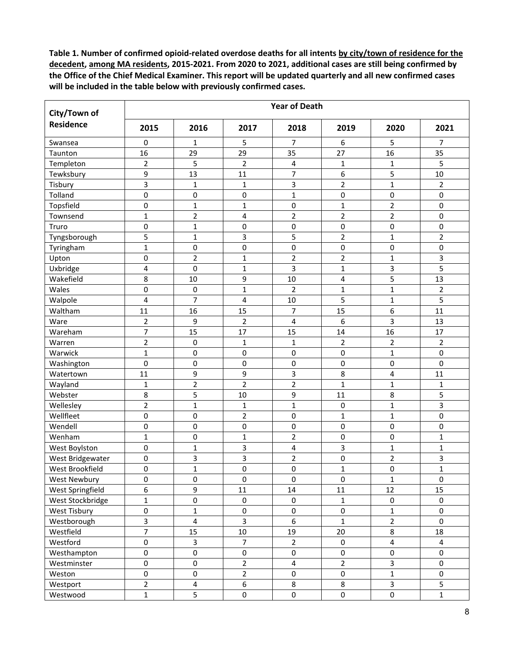| City/Town of        | <b>Year of Death</b>    |                         |                  |                |                         |                         |                |  |  |  |  |
|---------------------|-------------------------|-------------------------|------------------|----------------|-------------------------|-------------------------|----------------|--|--|--|--|
| <b>Residence</b>    | 2015                    | 2016                    | 2017             | 2018           | 2019                    | 2020                    | 2021           |  |  |  |  |
| Swansea             | 0                       | $\mathbf{1}$            | 5                | $\overline{7}$ | 6                       | 5                       | $\overline{7}$ |  |  |  |  |
| Taunton             | 16                      | 29                      | 29               | 35             | 27                      | 16                      | 35             |  |  |  |  |
| Templeton           | $\overline{2}$          | 5                       | $\overline{2}$   | 4              | $\mathbf{1}$            | $\mathbf{1}$            | 5              |  |  |  |  |
| Tewksbury           | 9                       | 13                      | 11               | 7              | 6                       | 5                       | 10             |  |  |  |  |
| Tisbury             | 3                       | 1                       | 1                | 3              | $\mathbf 2$             | $\mathbf{1}$            | 2              |  |  |  |  |
| Tolland             | 0                       | 0                       | 0                | $\mathbf{1}$   | $\pmb{0}$               | $\pmb{0}$               | 0              |  |  |  |  |
| Topsfield           | $\mathsf 0$             | $\mathbf{1}$            | 1                | $\pmb{0}$      | $\mathbf{1}$            | $\overline{2}$          | 0              |  |  |  |  |
| Townsend            | $\mathbf{1}$            | $\overline{2}$          | 4                | $\overline{2}$ | $\overline{2}$          | $\overline{2}$          | 0              |  |  |  |  |
| Truro               | $\mathsf 0$             | 1                       | 0                | $\pmb{0}$      | $\pmb{0}$               | 0                       | 0              |  |  |  |  |
| Tyngsborough        | 5                       | $\mathbf{1}$            | 3                | 5              | $\overline{2}$          | $\mathbf{1}$            | $\overline{2}$ |  |  |  |  |
| Tyringham           | $\mathbf{1}$            | 0                       | 0                | 0              | $\pmb{0}$               | 0                       | 0              |  |  |  |  |
| Upton               | $\mathbf 0$             | $\overline{2}$          | $\mathbf 1$      | $\overline{2}$ | $\overline{2}$          | $\mathbf{1}$            | 3              |  |  |  |  |
| Uxbridge            | 4                       | 0                       | $\mathbf 1$      | 3              | $\mathbf{1}$            | 3                       | 5              |  |  |  |  |
| Wakefield           | 8                       | 10                      | 9                | 10             | $\overline{\mathbf{4}}$ | 5                       | 13             |  |  |  |  |
| Wales               | $\mathbf 0$             | 0                       | $\mathbf{1}$     | $\overline{2}$ | $\mathbf{1}$            | $\mathbf{1}$            | $\overline{2}$ |  |  |  |  |
| Walpole             | $\overline{\mathbf{4}}$ | 7                       | 4                | 10             | 5                       | $\mathbf{1}$            | 5              |  |  |  |  |
| Waltham             | 11                      | 16                      | 15               | $\overline{7}$ | 15                      | 6                       | 11             |  |  |  |  |
| Ware                | $\overline{2}$          | 9                       | $\overline{2}$   | 4              | 6                       | 3                       | 13             |  |  |  |  |
| Wareham             | 7                       | 15                      | 17               | 15             | 14                      | 16                      | 17             |  |  |  |  |
| Warren              | $\overline{2}$          | 0                       | $\mathbf 1$      | $\mathbf{1}$   | $\overline{2}$          | $\overline{2}$          | $\overline{2}$ |  |  |  |  |
| Warwick             | $\mathbf{1}$            | $\pmb{0}$               | 0                | $\pmb{0}$      | $\pmb{0}$               | $\mathbf{1}$            | 0              |  |  |  |  |
| Washington          | 0                       | $\pmb{0}$               | $\pmb{0}$        | $\pmb{0}$      | $\pmb{0}$               | $\pmb{0}$               | 0              |  |  |  |  |
| Watertown           | 11                      | 9                       | 9                | 3              | 8                       | 4                       | 11             |  |  |  |  |
| Wayland             | $\mathbf{1}$            | $\mathbf 2$             | $\overline{2}$   | $\overline{2}$ | $\mathbf{1}$            | $\mathbf{1}$            | 1              |  |  |  |  |
| Webster             | 8                       | 5                       | $10\,$           | 9              | 11                      | 8                       | 5              |  |  |  |  |
| Wellesley           | $\overline{2}$          | $\mathbf{1}$            | 1                | $\mathbf 1$    | $\pmb{0}$               | $\mathbf{1}$            | 3              |  |  |  |  |
| Wellfleet           | $\mathbf 0$             | 0                       | $\overline{2}$   | $\pmb{0}$      | $\mathbf{1}$            | $\mathbf{1}$            | 0              |  |  |  |  |
| Wendell             | $\pmb{0}$               | 0                       | 0                | $\pmb{0}$      | $\pmb{0}$               | 0                       | 0              |  |  |  |  |
| Wenham              | $\mathbf{1}$            | 0                       | $\mathbf 1$      | $\overline{2}$ | $\pmb{0}$               | $\pmb{0}$               | $\mathbf{1}$   |  |  |  |  |
| West Boylston       | $\mathsf 0$             | $\mathbf{1}$            | 3                | 4              | 3                       | $\mathbf{1}$            | $\mathbf{1}$   |  |  |  |  |
| West Bridgewater    | $\mathsf 0$             | 3                       | 3                | $\overline{2}$ | $\mathsf 0$             | $\overline{2}$          | 3              |  |  |  |  |
| West Brookfield     | $\mathbf 0$             | $\mathbf{1}$            | $\overline{0}$   | $\mathbf 0$    | $\mathbf 1$             | 0                       | $\mathbf 1$    |  |  |  |  |
| <b>West Newbury</b> | $\pmb{0}$               | $\mathsf{O}\xspace$     | $\pmb{0}$        | 0              | $\pmb{0}$               | $\mathbf 1$             | $\pmb{0}$      |  |  |  |  |
| West Springfield    | 6                       | 9                       | 11               | 14             | 11                      | 12                      | 15             |  |  |  |  |
| West Stockbridge    | $\mathbf{1}$            | 0                       | $\pmb{0}$        | $\pmb{0}$      | $\mathbf 1$             | $\pmb{0}$               | $\pmb{0}$      |  |  |  |  |
| West Tisbury        | $\mathbf 0$             | $\mathbf{1}$            | $\pmb{0}$        | $\pmb{0}$      | $\pmb{0}$               | $\mathbf 1$             | 0              |  |  |  |  |
| Westborough         | 3                       | 4                       | 3                | 6              | $\mathbf{1}$            | $\overline{2}$          | $\mathbf 0$    |  |  |  |  |
| Westfield           | $\overline{7}$          | 15                      | 10               | 19             | 20                      | 8                       | 18             |  |  |  |  |
| Westford            | $\mathbf 0$             | $\mathbf{3}$            | $\overline{7}$   | $\overline{2}$ | $\mathbf 0$             | $\overline{4}$          | 4              |  |  |  |  |
| Westhampton         | $\mathsf 0$             | $\pmb{0}$               | $\mathbf 0$      | $\pmb{0}$      | $\pmb{0}$               | $\pmb{0}$               | 0              |  |  |  |  |
| Westminster         | $\pmb{0}$               | $\pmb{0}$               | $\overline{2}$   | $\overline{4}$ | $\overline{2}$          | $\overline{\mathbf{3}}$ | 0              |  |  |  |  |
| Weston              | $\pmb{0}$               | $\pmb{0}$               | $\overline{2}$   | 0              | $\pmb{0}$               | $\mathbf 1$             | 0              |  |  |  |  |
| Westport            | $\overline{2}$          | $\overline{\mathbf{4}}$ | $\boldsymbol{6}$ | 8              | 8                       | $\overline{\mathbf{3}}$ | 5              |  |  |  |  |
| Westwood            | $\mathbf{1}$            | 5                       | $\mathsf{O}$     | $\pmb{0}$      | $\pmb{0}$               | $\mathbf 0$             | $\mathbf 1$    |  |  |  |  |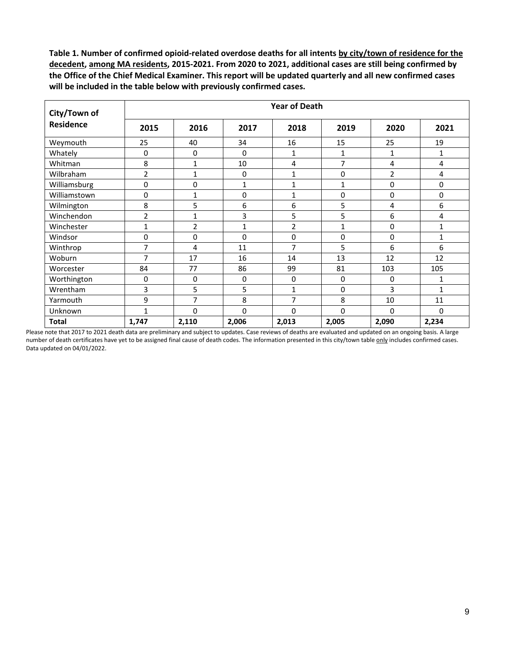| City/Town of     | <b>Year of Death</b> |              |              |                |              |                |              |  |  |
|------------------|----------------------|--------------|--------------|----------------|--------------|----------------|--------------|--|--|
| <b>Residence</b> | 2015                 | 2016         | 2017         | 2018           | 2019         | 2020           | 2021         |  |  |
| Weymouth         | 25                   | 40           | 34           | 16             | 15           | 25             | 19           |  |  |
| Whately          | 0                    | $\mathbf 0$  | 0            | 1              | 1            | 1              | 1            |  |  |
| Whitman          | 8                    | 1            | 10           | 4              | 7            | 4              | 4            |  |  |
| Wilbraham        | $\overline{2}$       | 1            | 0            | 1              | 0            | $\overline{2}$ | 4            |  |  |
| Williamsburg     | 0                    | 0            | 1            | $\mathbf{1}$   | $\mathbf{1}$ | 0              | 0            |  |  |
| Williamstown     | 0                    | 1            | 0            | 1              | 0            | 0              | 0            |  |  |
| Wilmington       | 8                    | 5            | 6            | 6              | 5            | 4              | 6            |  |  |
| Winchendon       | $\overline{2}$       | $\mathbf{1}$ | 3            | 5              | 5            | 6              | 4            |  |  |
| Winchester       | $\mathbf{1}$         | 2            | $\mathbf{1}$ | $\overline{2}$ | $\mathbf{1}$ | 0              | $\mathbf{1}$ |  |  |
| Windsor          | 0                    | 0            | 0            | 0              | 0            | 0              | $\mathbf{1}$ |  |  |
| Winthrop         | 7                    | 4            | 11           | $\overline{7}$ | 5            | 6              | 6            |  |  |
| Woburn           | 7                    | 17           | 16           | 14             | 13           | 12             | 12           |  |  |
| Worcester        | 84                   | 77           | 86           | 99             | 81           | 103            | 105          |  |  |
| Worthington      | 0                    | $\mathbf 0$  | 0            | 0              | $\mathbf 0$  | 0              | 1            |  |  |
| Wrentham         | 3                    | 5            | 5            | 1              | 0            | 3              | 1            |  |  |
| Yarmouth         | 9                    | 7            | 8            | 7              | 8            | 10             | 11           |  |  |
| Unknown          | $\mathbf{1}$         | 0            | 0            | 0              | $\Omega$     | 0              | $\mathbf 0$  |  |  |
| <b>Total</b>     | 1,747                | 2,110        | 2,006        | 2,013          | 2,005        | 2,090          | 2,234        |  |  |

Please note that 2017 to 2021 death data are preliminary and subject to updates. Case reviews of deaths are evaluated and updated on an ongoing basis. A large number of death certificates have yet to be assigned final cause of death codes. The information presented in this city/town table only includes confirmed cases. Data updated on 04/01/2022.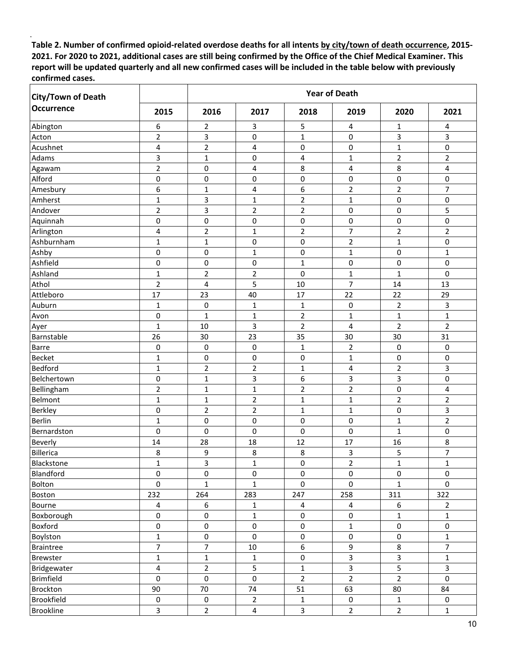| <b>City/Town of Death</b> |                         |                     |                | <b>Year of Death</b>    |                          |                         |                |
|---------------------------|-------------------------|---------------------|----------------|-------------------------|--------------------------|-------------------------|----------------|
| <b>Occurrence</b>         | 2015                    | 2016                | 2017           | 2018                    | 2019                     | 2020                    | 2021           |
| Abington                  | 6                       | 2                   | 3              | 5                       | 4                        | 1                       | 4              |
| Acton                     | $\overline{2}$          | 3                   | 0              | $\mathbf{1}$            | 0                        | 3                       | 3              |
| Acushnet                  | 4                       | 2                   | 4              | 0                       | 0                        | $\mathbf{1}$            | 0              |
| Adams                     | 3                       | 1                   | 0              | 4                       | $\mathbf{1}$             | $\overline{2}$          | $\overline{2}$ |
| Agawam                    | $\overline{\mathbf{c}}$ | 0                   | 4              | 8                       | 4                        | 8                       | 4              |
| Alford                    | $\mathbf 0$             | $\mathbf 0$         | $\pmb{0}$      | 0                       | 0                        | 0                       | 0              |
| Amesbury                  | 6                       | 1                   | 4              | 6                       | $\overline{2}$           | $\overline{2}$          | 7              |
| Amherst                   | $\mathbf{1}$            | 3                   | $\mathbf{1}$   | $\overline{2}$          | $\mathbf 1$              | 0                       | 0              |
| Andover                   | $\mathbf 2$             | 3                   | $\overline{2}$ | $\mathbf 2$             | 0                        | 0                       | 5              |
| Aquinnah                  | $\pmb{0}$               | $\pmb{0}$           | 0              | $\pmb{0}$               | 0                        | 0                       | 0              |
| Arlington                 | 4                       | $\mathbf 2$         | $\mathbf 1$    | $\overline{2}$          | $\overline{\mathcal{I}}$ | $\overline{2}$          | $\overline{2}$ |
| Ashburnham                | 1                       | $\mathbf 1$         | 0              | $\pmb{0}$               | $\overline{2}$           | $\mathbf{1}$            | 0              |
| Ashby                     | 0                       | 0                   | $\mathbf{1}$   | 0                       | $\mathbf{1}$             | 0                       | $\mathbf{1}$   |
| Ashfield                  | $\mathbf 0$             | $\pmb{0}$           | 0              | $\mathbf{1}$            | 0                        | 0                       | 0              |
| Ashland                   | $\mathbf{1}$            | $\overline{2}$      | $\overline{2}$ | 0                       | $\mathbf 1$              | $\mathbf{1}$            | 0              |
| Athol                     | $\overline{2}$          | 4                   | 5              | 10                      | $\overline{7}$           | 14                      | 13             |
| Attleboro                 | 17                      | 23                  | 40             | 17                      | 22                       | 22                      | 29             |
| Auburn                    | 1                       | 0                   | 1              | 1                       | 0                        | $\overline{2}$          | 3              |
| Avon                      | $\pmb{0}$               | $\mathbf 1$         | $\mathbf 1$    | $\overline{2}$          | $\mathbf{1}$             | $\mathbf{1}$            | $\mathbf{1}$   |
| Ayer                      | 1                       | 10                  | 3              | $\overline{2}$          | 4                        | $\overline{2}$          | 2              |
| Barnstable                | 26                      | 30                  | 23             | 35                      | 30                       | 30                      | 31             |
| <b>Barre</b>              | 0                       | 0                   | 0              | 1                       | $\overline{2}$           | 0                       | 0              |
| Becket                    | $\mathbf{1}$            | $\mathbf 0$         | 0              | 0                       | $\mathbf 1$              | 0                       | 0              |
| Bedford                   | 1                       | $\overline{2}$      | $\overline{2}$ | $\mathbf{1}$            | 4                        | $\overline{2}$          | 3              |
| Belchertown               | 0                       | $\mathbf{1}$        | 3              | 6                       | 3                        | 3                       | 0              |
| Bellingham                | $\mathbf 2$             | $\mathbf{1}$        | $\mathbf{1}$   | $\overline{c}$          | $\mathbf 2$              | 0                       | 4              |
| Belmont                   | $\mathbf{1}$            | $\mathbf{1}$        | $\mathbf 2$    | $\mathbf{1}$            | $\mathbf 1$              | $\overline{2}$          | $\overline{2}$ |
| Berkley                   | $\pmb{0}$               | $\overline{2}$      | $\overline{2}$ | $\mathbf{1}$            | $\mathbf{1}$             | 0                       | 3              |
| Berlin                    | 1                       | 0                   | 0              | $\pmb{0}$               | 0                        | $\mathbf{1}$            | $\overline{2}$ |
| Bernardston               | $\mathbf 0$             | $\pmb{0}$           | 0              | 0                       | 0                        | $\mathbf{1}$            | 0              |
| Beverly                   | 14                      | 28                  | 18             | 12                      | 17                       | 16                      | 8              |
| Billerica                 | 8                       | 9                   | 8              | 8                       | 3                        | 5                       | $\overline{7}$ |
| Blackstone                | 1                       | $\mathsf{3}$        | $\mathbf 1$    | $\pmb{0}$               | $\overline{2}$           | $\mathbf{1}$            | $\mathbf{1}$   |
| Blandford                 | $\pmb{0}$               | $\pmb{0}$           | $\pmb{0}$      | $\pmb{0}$               | $\pmb{0}$                | 0                       | $\pmb{0}$      |
| Bolton                    | $\pmb{0}$               | 1                   | $\mathbf{1}$   | $\pmb{0}$               | 0                        | $\mathbf{1}$            | 0              |
| Boston                    | 232                     | 264                 | 283            | 247                     | 258                      | 311                     | 322            |
| Bourne                    | $\sqrt{4}$              | $\boldsymbol{6}$    | $\mathbf{1}$   | $\overline{\mathbf{4}}$ | $\overline{4}$           | 6                       | $\overline{2}$ |
| Boxborough                | $\mathbf 0$             | $\pmb{0}$           | $\mathbf 1$    | $\pmb{0}$               | 0                        | $\mathbf{1}$            | $\mathbf{1}$   |
| Boxford                   | $\pmb{0}$               | $\pmb{0}$           | $\pmb{0}$      | $\pmb{0}$               | $\mathbf{1}$             | 0                       | $\mathbf 0$    |
| Boylston                  | $\mathbf{1}$            | $\pmb{0}$           | $\mathbf 0$    | $\pmb{0}$               | $\pmb{0}$                | 0                       | $\mathbf{1}$   |
| <b>Braintree</b>          | $\overline{7}$          | $\overline{7}$      | $10\,$         | 6                       | 9                        | 8                       | $\overline{7}$ |
| Brewster                  | $\mathbf{1}$            | $\mathbf 1$         | $\mathbf 1$    | $\pmb{0}$               | $\overline{\mathbf{3}}$  | $\overline{\mathbf{3}}$ | $\mathbf{1}$   |
| Bridgewater               | $\sqrt{4}$              | $\mathbf 2$         | $\mathsf S$    | 1                       | $\overline{\mathbf{3}}$  | 5                       | $\mathbf{3}$   |
| Brimfield                 | $\mathbf 0$             | $\pmb{0}$           | $\pmb{0}$      | $\overline{2}$          | $\overline{2}$           | $\overline{2}$          | $\mathsf{O}$   |
| Brockton                  | 90                      | 70                  | 74             | 51                      | 63                       | 80                      | 84             |
| Brookfield                | $\pmb{0}$               | $\mathsf{O}\xspace$ | $\overline{2}$ | $\mathbf 1$             | $\mathsf{O}\xspace$      | $\mathbf{1}$            | $\mathbf 0$    |
| <b>Brookline</b>          | $\overline{3}$          | $\overline{2}$      | $\overline{a}$ | $\mathbf{3}$            | $\overline{2}$           | $\overline{2}$          | $\mathbf{1}$   |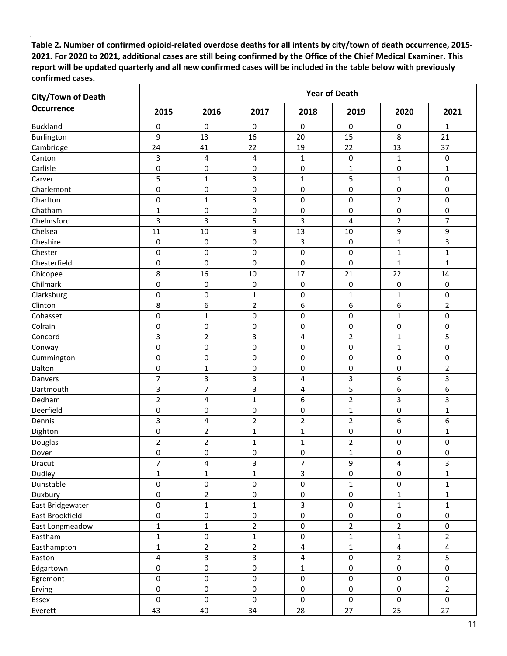| <b>City/Town of Death</b> |                         |                         |                         |                         | <b>Year of Death</b> |                         |                         |
|---------------------------|-------------------------|-------------------------|-------------------------|-------------------------|----------------------|-------------------------|-------------------------|
| <b>Occurrence</b>         | 2015                    | 2016                    | 2017                    | 2018                    | 2019                 | 2020                    | 2021                    |
| <b>Buckland</b>           | 0                       | 0                       | 0                       | 0                       | 0                    | 0                       | 1                       |
| Burlington                | 9                       | 13                      | 16                      | 20                      | 15                   | 8                       | 21                      |
| Cambridge                 | 24                      | 41                      | 22                      | 19                      | 22                   | 13                      | 37                      |
| Canton                    | 3                       | 4                       | 4                       | $\mathbf{1}$            | 0                    | $\mathbf 1$             | 0                       |
| Carlisle                  | 0                       | 0                       | 0                       | 0                       | 1                    | 0                       | 1                       |
| Carver                    | 5                       | $\mathbf 1$             | 3                       | $\mathbf{1}$            | 5                    | $\mathbf 1$             | 0                       |
| Charlemont                | 0                       | 0                       | 0                       | 0                       | 0                    | 0                       | 0                       |
| Charlton                  | $\mathbf 0$             | $\mathbf 1$             | 3                       | $\pmb{0}$               | $\pmb{0}$            | $\overline{2}$          | 0                       |
| Chatham                   | $\mathbf{1}$            | 0                       | $\pmb{0}$               | 0                       | 0                    | 0                       | 0                       |
| Chelmsford                | 3                       | 3                       | 5                       | 3                       | 4                    | $\overline{2}$          | $\overline{7}$          |
| Chelsea                   | 11                      | 10                      | 9                       | 13                      | 10                   | 9                       | 9                       |
| Cheshire                  | 0                       | 0                       | 0                       | 3                       | $\pmb{0}$            | $\mathbf{1}$            | 3                       |
| Chester                   | 0                       | 0                       | 0                       | 0                       | 0                    | $\mathbf 1$             | 1                       |
| Chesterfield              | 0                       | $\mathbf 0$             | 0                       | $\pmb{0}$               | $\pmb{0}$            | $\mathbf 1$             | $\mathbf{1}$            |
| Chicopee                  | 8                       | 16                      | 10                      | 17                      | 21                   | 22                      | 14                      |
| Chilmark                  | $\pmb{0}$               | 0                       | $\mathbf 0$             | $\pmb{0}$               | 0                    | 0                       | 0                       |
| Clarksburg                | $\mathbf 0$             | 0                       | $\mathbf{1}$            | 0                       | $\mathbf{1}$         | $\mathbf 1$             | 0                       |
| Clinton                   | 8                       | 6                       | $\mathbf 2$             | 6                       | 6                    | 6                       | $\overline{2}$          |
| Cohasset                  | $\mathbf 0$             | $\mathbf 1$             | $\pmb{0}$               | $\pmb{0}$               | 0                    | $\mathbf 1$             | 0                       |
| Colrain                   | 0                       | 0                       | 0                       | 0                       | 0                    | 0                       | 0                       |
| Concord                   | 3                       | $\overline{2}$          | 3                       | 4                       | $\overline{2}$       | $\mathbf 1$             | 5                       |
| Conway                    | $\mathbf 0$             | 0                       | 0                       | 0                       | 0                    | $\mathbf{1}$            | 0                       |
| Cummington                | $\mathbf 0$             | $\mathbf 0$             | $\mathbf 0$             | 0                       | 0                    | $\mathbf 0$             | 0                       |
| Dalton                    | 0                       | $\mathbf{1}$            | 0                       | 0                       | 0                    | 0                       | $\overline{2}$          |
| Danvers                   | $\overline{7}$          | 3                       | 3                       | 4                       | 3                    | 6                       | 3                       |
| Dartmouth                 | 3                       | $\overline{7}$          | 3                       | 4                       | 5                    | 6                       | 6                       |
| Dedham                    | $\overline{2}$          | 4                       | $\mathbf{1}$            | 6                       | $\mathbf 2$          | 3                       | 3                       |
| Deerfield                 | 0                       | 0                       | 0                       | 0                       | $\mathbf{1}$         | 0                       | $\mathbf{1}$            |
| Dennis                    | 3                       | 4                       | $\overline{2}$          | $\overline{2}$          | $\overline{2}$       | 6                       | 6                       |
| Dighton                   | 0                       | $\overline{2}$          | $\mathbf{1}$            | $\mathbf{1}$            | 0                    | 0                       | $\mathbf{1}$            |
| Douglas                   | $\overline{2}$          | $\mathbf 2$             | $\mathbf 1$             | 1                       | $\mathbf 2$          | 0                       | 0                       |
| Dover                     | 0                       | 0                       | 0                       | 0                       | $\mathbf{1}$         | 0                       | 0                       |
| Dracut                    | $\overline{7}$          | $\pmb{4}$               | 3                       | $\boldsymbol{7}$        | 9                    | 4                       | $\mathbf{3}$            |
| Dudley                    | $\mathbf{1}$            | $\mathbf{1}$            | $\mathbf 1$             | $\overline{3}$          | 0                    | $\mathsf{O}\xspace$     | $\mathbf{1}$            |
| Dunstable                 | $\pmb{0}$               | $\pmb{0}$               | $\pmb{0}$               | $\pmb{0}$               | 1                    | 0                       | $\mathbf{1}$            |
| Duxbury                   | $\pmb{0}$               | $\overline{2}$          | $\pmb{0}$               | $\pmb{0}$               | $\pmb{0}$            | $\mathbf{1}$            | $\mathbf{1}$            |
| East Bridgewater          | $\mathsf{O}\xspace$     | $\mathbf{1}$            | $\mathbf{1}$            | $\overline{3}$          | $\mathbf 0$          | $\mathbf{1}$            | $\mathbf{1}$            |
| East Brookfield           | $\mathbf 0$             | $\mathsf{O}\xspace$     | $\pmb{0}$               | $\pmb{0}$               | $\mathsf{O}\xspace$  | 0                       | 0                       |
| East Longmeadow           | $\mathbf{1}$            | $\mathbf{1}$            | $\overline{2}$          | $\pmb{0}$               | $\overline{2}$       | $\overline{2}$          | 0                       |
| Eastham                   | $\mathbf{1}$            | $\pmb{0}$               | $\mathbf{1}$            | $\pmb{0}$               | $\mathbf{1}$         | $\mathbf{1}$            | $\overline{2}$          |
| Easthampton               | $\mathbf{1}$            | $\overline{2}$          | $\overline{2}$          | $\overline{\mathbf{4}}$ | $\mathbf 1$          | $\overline{\mathbf{4}}$ | $\overline{\mathbf{4}}$ |
| Easton                    | $\overline{\mathbf{4}}$ | $\overline{\mathbf{3}}$ | $\overline{\mathbf{3}}$ | 4                       | $\pmb{0}$            | $\overline{2}$          | 5                       |
| Edgartown                 | $\pmb{0}$               | $\pmb{0}$               | $\pmb{0}$               | 1                       | $\mathsf 0$          | $\pmb{0}$               | 0                       |
| Egremont                  | $\pmb{0}$               | $\pmb{0}$               | $\pmb{0}$               | $\pmb{0}$               | $\pmb{0}$            | $\mathsf{O}\xspace$     | 0                       |
| Erving                    | $\pmb{0}$               | $\mathsf{O}\xspace$     | $\pmb{0}$               | $\pmb{0}$               | $\mathbf 0$          | $\mathsf{O}\xspace$     | $\overline{2}$          |
| Essex                     | $\pmb{0}$               | $\mathbf 0$             | $\pmb{0}$               | $\pmb{0}$               | $\mathbf 0$          | $\mathsf{O}$            | $\mathbf 0$             |
| Everett                   | 43                      | 40                      | 34                      | 28                      | 27                   | 25                      | 27                      |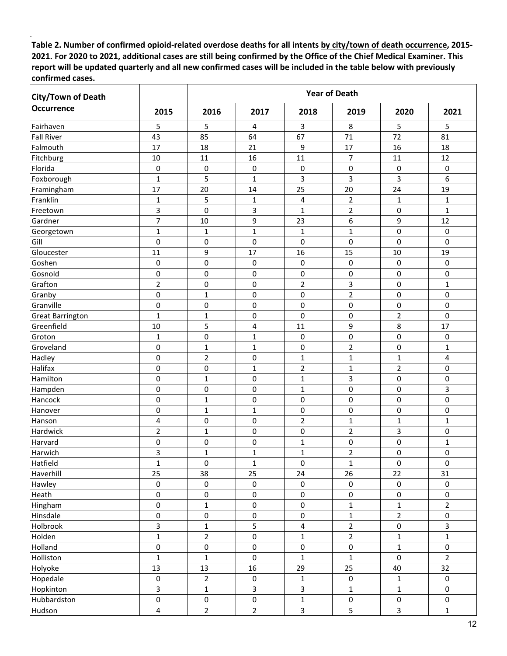| <b>Year of Death</b><br><b>City/Town of Death</b> |                         |                |                     |                         |                |                |                |
|---------------------------------------------------|-------------------------|----------------|---------------------|-------------------------|----------------|----------------|----------------|
| <b>Occurrence</b>                                 | 2015                    | 2016           | 2017                | 2018                    | 2019           | 2020           | 2021           |
| Fairhaven                                         | 5                       | 5              | 4                   | $\overline{3}$          | 8              | 5              | 5              |
| <b>Fall River</b>                                 | 43                      | 85             | 64                  | 67                      | 71             | 72             | 81             |
| Falmouth                                          | 17                      | 18             | 21                  | 9                       | 17             | 16             | 18             |
| Fitchburg                                         | 10                      | 11             | 16                  | 11                      | $\overline{7}$ | 11             | 12             |
| Florida                                           | 0                       | 0              | $\mathbf 0$         | $\pmb{0}$               | 0              | $\pmb{0}$      | 0              |
| Foxborough                                        | $\mathbf{1}$            | 5              | $\mathbf{1}$        | 3                       | 3              | 3              | 6              |
| Framingham                                        | 17                      | 20             | 14                  | 25                      | 20             | 24             | 19             |
| Franklin                                          | $\mathbf{1}$            | 5              | 1                   | 4                       | $\overline{2}$ | 1              | 1              |
| Freetown                                          | 3                       | $\mathbf 0$    | 3                   | $\mathbf{1}$            | $\overline{2}$ | 0              | $\mathbf{1}$   |
| Gardner                                           | $\overline{7}$          | 10             | 9                   | 23                      | 6              | 9              | 12             |
| Georgetown                                        | $\mathbf{1}$            | $\mathbf{1}$   | $\mathbf{1}$        | $\mathbf{1}$            | $\mathbf{1}$   | 0              | 0              |
| Gill                                              | 0                       | 0              | 0                   | 0                       | 0              | 0              | 0              |
| Gloucester                                        | 11                      | 9              | 17                  | 16                      | 15             | 10             | 19             |
| Goshen                                            | 0                       | 0              | 0                   | 0                       | 0              | 0              | 0              |
| Gosnold                                           | $\mathbf 0$             | $\mathbf 0$    | 0                   | $\pmb{0}$               | 0              | 0              | 0              |
| Grafton                                           | $\overline{2}$          | 0              | 0                   | $\overline{2}$          | 3              | 0              | 1              |
| Granby                                            | $\mathbf 0$             | $\mathbf 1$    | $\pmb{0}$           | $\pmb{0}$               | $\overline{2}$ | 0              | 0              |
| Granville                                         | 0                       | 0              | $\mathbf 0$         | 0                       | $\pmb{0}$      | 0              | 0              |
| <b>Great Barrington</b>                           | $\mathbf{1}$            | $\mathbf 1$    | $\mathbf 0$         | $\pmb{0}$               | 0              | $\mathbf 2$    | 0              |
| Greenfield                                        | 10                      | 5              | 4                   | 11                      | 9              | 8              | 17             |
| Groton                                            | $\mathbf{1}$            | 0              | $\mathbf{1}$        | $\pmb{0}$               | 0              | 0              | 0              |
| Groveland                                         | 0                       | $\mathbf 1$    | $\mathbf{1}$        | 0                       | $\overline{2}$ | 0              | 1              |
| Hadley                                            | $\mathbf 0$             | $\overline{2}$ | $\mathbf 0$         | $\mathbf{1}$            | $\mathbf{1}$   | $\mathbf{1}$   | 4              |
| Halifax                                           | 0                       | 0              | $\mathbf{1}$        | $\overline{2}$          | $\mathbf{1}$   | $\overline{2}$ | 0              |
| Hamilton                                          | $\mathbf 0$             | $\mathbf 1$    | 0                   | $\mathbf{1}$            | 3              | 0              | 0              |
| Hampden                                           | $\mathbf 0$             | $\mathbf 0$    | $\pmb{0}$           | $\mathbf 1$             | $\mathsf 0$    | 0              | 3              |
| Hancock                                           | 0                       | $\mathbf 1$    | 0                   | 0                       | 0              | 0              | 0              |
| Hanover                                           | 0                       | $\mathbf 1$    | $\mathbf{1}$        | 0                       | 0              | 0              | 0              |
| Hanson                                            | 4                       | 0              | 0                   | $\overline{2}$          | $\mathbf{1}$   | $\mathbf 1$    | 1              |
| Hardwick                                          | $\overline{2}$          | $\mathbf 1$    | 0                   | 0                       | $\overline{2}$ | 3              | 0              |
| Harvard                                           | 0                       | 0              | 0                   | 1                       | 0              | 0              | 1              |
| Harwich                                           | 3                       | $\mathbf 1$    | $\mathbf{1}$        | $\mathbf{1}$            | $\overline{2}$ | 0              | 0              |
| Hatfield                                          | $\mathbf 1$             | $\pmb{0}$      | $\mathbf 1$         | $\pmb{0}$               | $\mathbf{1}$   | $\pmb{0}$      | $\mathsf 0$    |
| Haverhill                                         | 25                      | 38             | 25                  | 24                      | 26             | 22             | 31             |
| Hawley                                            | $\pmb{0}$               | $\pmb{0}$      | $\mathsf{O}\xspace$ | $\mathbf 0$             | $\mathbf 0$    | $\mathbf 0$    | $\mathbf 0$    |
| Heath                                             | $\pmb{0}$               | $\pmb{0}$      | $\pmb{0}$           | $\pmb{0}$               | $\pmb{0}$      | $\mathbf 0$    | 0              |
| Hingham                                           | $\pmb{0}$               | $\mathbf{1}$   | $\pmb{0}$           | $\pmb{0}$               | $\mathbf 1$    | $\mathbf 1$    | $\overline{2}$ |
| Hinsdale                                          | $\pmb{0}$               | $\pmb{0}$      | $\pmb{0}$           | $\pmb{0}$               | $\mathbf 1$    | $\overline{2}$ | 0              |
| Holbrook                                          | $\overline{3}$          | $\mathbf{1}$   | 5                   | $\overline{\mathbf{4}}$ | $\overline{2}$ | 0              | $\mathbf{3}$   |
| Holden                                            | $\mathbf{1}$            | $\overline{2}$ | $\pmb{0}$           | $\mathbf{1}$            | $\overline{2}$ | $\mathbf{1}$   | $\mathbf{1}$   |
| Holland                                           | $\pmb{0}$               | $\pmb{0}$      | $\pmb{0}$           | $\pmb{0}$               | $\pmb{0}$      | $\mathbf{1}$   | 0              |
| Holliston                                         | $\mathbf{1}$            | $\mathbf{1}$   | $\mathbf 0$         | $\mathbf{1}$            | $\mathbf{1}$   | $\mathbf 0$    | $\overline{2}$ |
| Holyoke                                           | 13                      | 13             | 16                  | 29                      | 25             | 40             | 32             |
| Hopedale                                          | $\pmb{0}$               | $\overline{2}$ | $\pmb{0}$           | $\mathbf{1}$            | $\pmb{0}$      | $\mathbf{1}$   | $\mathbf 0$    |
| Hopkinton                                         | $\overline{3}$          | $\mathbf{1}$   | $\overline{3}$      | $\mathsf{3}$            | $\mathbf 1$    | $\mathbf{1}$   | 0              |
| Hubbardston                                       | $\pmb{0}$               | $\pmb{0}$      | $\mathbf 0$         | $\mathbf{1}$            | $\mathsf 0$    | $\mathbf 0$    | 0              |
| Hudson                                            | $\overline{\mathbf{4}}$ | $\overline{2}$ | $\overline{2}$      | $\mathbf{3}$            | 5              | $\mathbf{3}$   | $\mathbf{1}$   |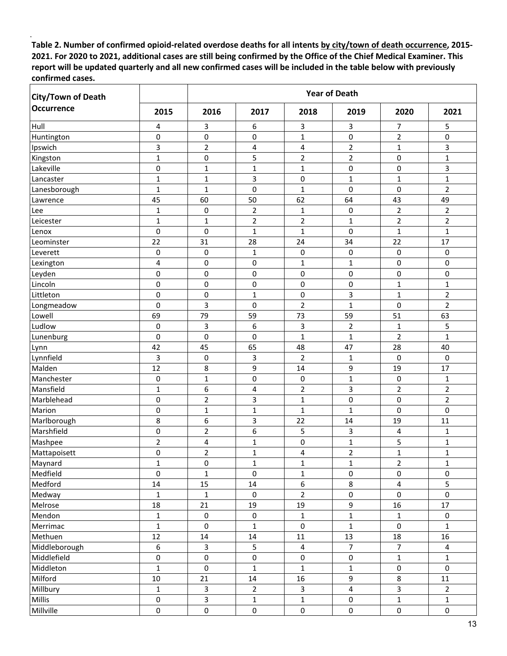| <b>City/Town of Death</b> |                  | <b>Year of Death</b> |                     |                     |                     |                         |                     |  |
|---------------------------|------------------|----------------------|---------------------|---------------------|---------------------|-------------------------|---------------------|--|
| <b>Occurrence</b>         | 2015             | 2016                 | 2017                | 2018                | 2019                | 2020                    | 2021                |  |
| Hull                      | 4                | $\overline{3}$       | 6                   | 3                   | 3                   | 7                       | 5                   |  |
| Huntington                | 0                | $\pmb{0}$            | 0                   | $\mathbf{1}$        | 0                   | $\overline{2}$          | 0                   |  |
| Ipswich                   | 3                | $\overline{2}$       | 4                   | 4                   | $\overline{2}$      | $\mathbf{1}$            | 3                   |  |
| Kingston                  | $\mathbf{1}$     | $\pmb{0}$            | 5                   | $\overline{2}$      | $\overline{2}$      | 0                       | $\mathbf{1}$        |  |
| Lakeville                 | 0                | $\mathbf{1}$         | $\mathbf{1}$        | $\mathbf{1}$        | 0                   | 0                       | 3                   |  |
| Lancaster                 | 1                | $\mathbf{1}$         | 3                   | 0                   | $\mathbf{1}$        | $\mathbf{1}$            | $\mathbf{1}$        |  |
| Lanesborough              | $\mathbf{1}$     | $\mathbf{1}$         | 0                   | $\mathbf{1}$        | 0                   | 0                       | $\overline{2}$      |  |
| Lawrence                  | 45               | 60                   | 50                  | 62                  | 64                  | 43                      | 49                  |  |
| Lee                       | $\mathbf{1}$     | 0                    | $\overline{2}$      | 1                   | 0                   | $\overline{2}$          | $\overline{2}$      |  |
| Leicester                 | 1                | 1                    | $\mathbf 2$         | $\overline{2}$      | 1                   | $\overline{2}$          | $\overline{2}$      |  |
| Lenox                     | $\pmb{0}$        | $\mathbf 0$          | $\mathbf{1}$        | $\mathbf{1}$        | 0                   | $\mathbf{1}$            | $\mathbf{1}$        |  |
| Leominster                | 22               | 31                   | 28                  | 24                  | 34                  | 22                      | 17                  |  |
| Leverett                  | 0                | 0                    | $\mathbf{1}$        | 0                   | 0                   | 0                       | 0                   |  |
| Lexington                 | 4                | 0                    | 0                   | 1                   | 1                   | 0                       | 0                   |  |
| Leyden                    | 0                | $\pmb{0}$            | 0                   | $\pmb{0}$           | 0                   | 0                       | 0                   |  |
| Lincoln                   | 0                | 0                    | 0                   | 0                   | 0                   | 1                       | 1                   |  |
| Littleton                 | 0                | $\pmb{0}$            | $\mathbf{1}$        | $\pmb{0}$           | 3                   | $\mathbf 1$             | $\overline{2}$      |  |
| Longmeadow                | $\mathbf 0$      | 3                    | 0                   | $\overline{2}$      | $\mathbf{1}$        | 0                       | $\overline{2}$      |  |
| Lowell                    | 69               | 79                   | 59                  | 73                  | 59                  | 51                      | 63                  |  |
| Ludlow                    | 0                | $\overline{3}$       | 6                   | 3                   | $\overline{2}$      | $\mathbf{1}$            | 5                   |  |
| Lunenburg                 | 0                | 0                    | $\pmb{0}$           | $\mathbf{1}$        | $\mathbf 1$         | $\overline{2}$          | $\mathbf{1}$        |  |
| Lynn                      | 42               | 45                   | 65                  | 48                  | 47                  | 28                      | 40                  |  |
| Lynnfield                 | 3                | 0                    | 3                   | $\overline{2}$      | $\mathbf{1}$        | 0                       | 0                   |  |
| Malden                    | 12               | 8                    | 9                   | 14                  | 9                   | 19                      | 17                  |  |
| Manchester                | 0                | $\mathbf{1}$         | 0                   | $\pmb{0}$           | $\mathbf{1}$        | 0                       | 1                   |  |
| Mansfield                 | $\mathbf{1}$     | 6                    | 4                   | $\overline{c}$      | 3                   | $\mathbf 2$             | $\overline{2}$      |  |
| Marblehead                | 0                | $\mathbf 2$          | 3                   | $\mathbf{1}$        | 0                   | 0                       | $\overline{2}$      |  |
| Marion                    | 0                | $\mathbf{1}$         | $\mathbf{1}$        | $\mathbf{1}$        | $\mathbf{1}$        | 0                       | 0                   |  |
| Marlborough               | 8                | 6                    | 3                   | 22                  | 14                  | 19                      | 11                  |  |
| Marshfield                | 0                | $\overline{2}$       | 6                   | 5                   | 3                   | 4                       | 1                   |  |
| Mashpee                   | $\overline{2}$   | 4                    | 1                   | 0                   | 1                   | 5                       | 1                   |  |
| Mattapoisett              | $\mathbf 0$      | $\overline{2}$       | $\mathbf{1}$        | 4                   | $\overline{2}$      | $\mathbf{1}$            | $\mathbf{1}$        |  |
| Maynard                   | 1                | $\pmb{0}$            | 1                   | 1                   | 1                   | $\overline{2}$          | $\mathbf{1}$        |  |
| Medfield                  | $\mathbf 0$      | $\mathbf{1}$         | $\pmb{0}$           | $\mathbf 1$         | 0                   | 0                       | $\pmb{0}$           |  |
| Medford                   | 14               | 15                   | $14\,$              | $\boldsymbol{6}$    | 8                   | $\overline{\mathbf{4}}$ | 5                   |  |
| Medway                    | $\mathbf{1}$     | $\mathbf{1}$         | $\pmb{0}$           | $\overline{2}$      | $\pmb{0}$           | 0                       | $\mathsf{O}\xspace$ |  |
| Melrose                   | 18               | 21                   | 19                  | 19                  | 9                   | 16                      | 17                  |  |
| Mendon                    | $\mathbf{1}$     | $\pmb{0}$            | $\pmb{0}$           | $\mathbf 1$         | $\mathbf{1}$        | $\mathbf{1}$            | $\mathsf{O}\xspace$ |  |
| Merrimac                  | $\mathbf{1}$     | $\mathbf 0$          | $\mathbf{1}$        | $\pmb{0}$           | $\mathbf{1}$        | $\pmb{0}$               | $\mathbf{1}$        |  |
| Methuen                   | 12               | 14                   | 14                  | 11                  | 13                  | 18                      | 16                  |  |
| Middleborough             | $\boldsymbol{6}$ | $\mathsf{3}$         | 5                   | $\pmb{4}$           | $\overline{7}$      | $\overline{7}$          | $\overline{4}$      |  |
| Middlefield               | $\pmb{0}$        | $\pmb{0}$            | $\pmb{0}$           | $\pmb{0}$           | $\pmb{0}$           | $\mathbf 1$             | $\mathbf{1}$        |  |
| Middleton                 | $\mathbf{1}$     | $\pmb{0}$            | $\mathbf 1$         | $\mathbf 1$         | $\mathbf{1}$        | $\pmb{0}$               | $\pmb{0}$           |  |
| Milford                   | $10\,$           | 21                   | 14                  | 16                  | 9                   | 8                       | $11\,$              |  |
| Millbury                  | $\mathbf 1$      | $\mathbf{3}$         | $\overline{2}$      | $\mathsf{3}$        | 4                   | $\overline{3}$          | $\overline{2}$      |  |
| Millis                    | $\mathsf 0$      | $\mathsf{3}$         | 1                   | $\mathbf{1}$        | 0                   | $\mathbf 1$             | $1\,$               |  |
| Millville                 | $\pmb{0}$        | $\pmb{0}$            | $\mathsf{O}\xspace$ | $\mathsf{O}\xspace$ | $\mathsf{O}\xspace$ | 0                       | 0                   |  |
|                           |                  |                      |                     |                     |                     |                         |                     |  |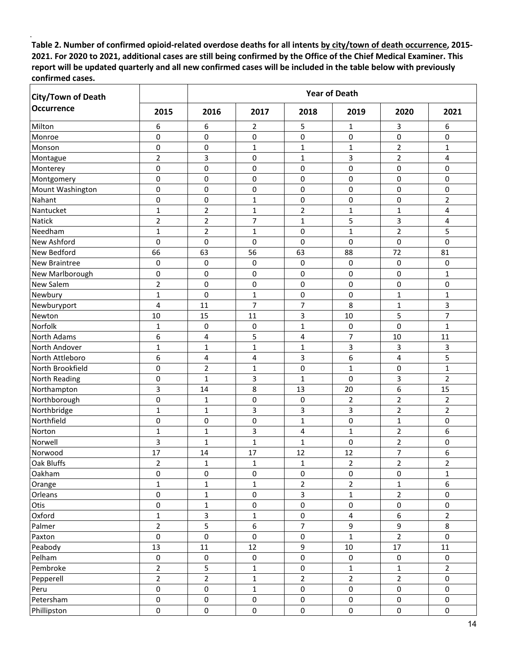| <b>City/Town of Death</b> |                | <b>Year of Death</b> |                |                |                |                     |                |  |
|---------------------------|----------------|----------------------|----------------|----------------|----------------|---------------------|----------------|--|
| <b>Occurrence</b>         | 2015           | 2016                 | 2017           | 2018           | 2019           | 2020                | 2021           |  |
| Milton                    | 6              | 6                    | 2              | 5              | 1              | 3                   | 6              |  |
| Monroe                    | 0              | 0                    | 0              | 0              | 0              | 0                   | 0              |  |
| Monson                    | 0              | 0                    | 1              | 1              | 1              | 2                   | 1              |  |
| Montague                  | $\overline{2}$ | 3                    | 0              | $\mathbf{1}$   | 3              | $\overline{2}$      | 4              |  |
| Monterey                  | $\mathbf 0$    | 0                    | 0              | 0              | 0              | 0                   | 0              |  |
| Montgomery                | $\mathbf 0$    | 0                    | 0              | 0              | 0              | 0                   | 0              |  |
| Mount Washington          | 0              | 0                    | 0              | 0              | 0              | 0                   | 0              |  |
| Nahant                    | $\mathbf 0$    | 0                    | $\mathbf{1}$   | 0              | 0              | 0                   | $\overline{2}$ |  |
| Nantucket                 | $\mathbf 1$    | $\mathbf 2$          | $\mathbf{1}$   | $\overline{2}$ | $\mathbf{1}$   | $\mathbf 1$         | 4              |  |
| Natick                    | $\overline{2}$ | $\overline{2}$       | $\overline{7}$ | $\mathbf{1}$   | 5              | 3                   | 4              |  |
| Needham                   | $\mathbf{1}$   | $\overline{2}$       | $\mathbf{1}$   | 0              | $\mathbf{1}$   | $\overline{2}$      | 5              |  |
| <b>New Ashford</b>        | 0              | 0                    | 0              | 0              | 0              | 0                   | 0              |  |
| New Bedford               | 66             | 63                   | 56             | 63             | 88             | 72                  | 81             |  |
| <b>New Braintree</b>      | 0              | 0                    | 0              | 0              | 0              | 0                   | 0              |  |
| New Marlborough           | 0              | 0                    | 0              | 0              | 0              | 0                   | $\mathbf{1}$   |  |
| <b>New Salem</b>          | $\overline{c}$ | $\mathbf 0$          | 0              | $\pmb{0}$      | $\mathsf 0$    | 0                   | 0              |  |
| Newbury                   | $\mathbf{1}$   | $\mathbf 0$          | $\mathbf{1}$   | 0              | 0              | $\mathbf 1$         | $\mathbf{1}$   |  |
| Newburyport               | $\overline{4}$ | 11                   | 7              | $\overline{7}$ | 8              | $\mathbf 1$         | 3              |  |
| Newton                    | 10             | 15                   | 11             | 3              | 10             | 5                   | 7              |  |
| Norfolk                   | 1              | 0                    | 0              | 1              | 0              | 0                   | 1              |  |
| <b>North Adams</b>        | 6              | 4                    | 5              | 4              | 7              | 10                  | 11             |  |
| North Andover             | $\mathbf 1$    | 1                    | 1              | 1              | 3              | 3                   | 3              |  |
| North Attleboro           | 6              | 4                    | 4              | 3              | 6              | 4                   | 5              |  |
| North Brookfield          | 0              | $\overline{2}$       | $\mathbf{1}$   | 0              | $\mathbf{1}$   | 0                   | $\mathbf{1}$   |  |
| North Reading             | 0              | $\mathbf{1}$         | 3              | $\mathbf{1}$   | $\mathsf 0$    | 3                   | $\overline{2}$ |  |
| Northampton               | 3              | 14                   | 8              | 13             | 20             | 6                   | 15             |  |
| Northborough              | $\mathbf 0$    | $\mathbf{1}$         | 0              | 0              | $\overline{2}$ | $\overline{2}$      | $\overline{2}$ |  |
| Northbridge               | $\mathbf{1}$   | $\mathbf 1$          | 3              | 3              | 3              | $\overline{2}$      | $\overline{2}$ |  |
| Northfield                | 0              | 0                    | $\pmb{0}$      | $\mathbf{1}$   | 0              | $\mathbf 1$         | 0              |  |
| Norton                    | $\mathbf 1$    | $\mathbf 1$          | 3              | 4              | $\mathbf{1}$   | $\overline{2}$      | 6              |  |
| Norwell                   | 3              | $\mathbf 1$          | 1              | $\mathbf{1}$   | 0              | $\mathbf 2$         | 0              |  |
| Norwood                   | 17             | 14                   | 17             | 12             | 12             | 7                   | 6              |  |
| Oak Bluffs                | $\overline{2}$ | $\mathbf{1}$         | $\mathbf 1$    | $\mathbf 1$    | $\overline{2}$ | $\overline{2}$      | $\overline{2}$ |  |
| Oakham                    | $\pmb{0}$      | $\pmb{0}$            | $\pmb{0}$      | $\pmb{0}$      | $\pmb{0}$      | $\pmb{0}$           | $\mathbf{1}$   |  |
| Orange                    | $\mathbf 1$    | $\mathbf{1}$         | 1              | $\overline{2}$ | $\overline{2}$ | $\mathbf{1}$        | 6              |  |
| Orleans                   | $\pmb{0}$      | $\mathbf{1}$         | $\pmb{0}$      | 3              | $\mathbf{1}$   | $\overline{2}$      | 0              |  |
| Otis                      | $\pmb{0}$      | $\mathbf{1}$         | 0              | $\pmb{0}$      | $\pmb{0}$      | 0                   | 0              |  |
| Oxford                    | $\mathbf{1}$   | 3                    | $\mathbf{1}$   | $\pmb{0}$      | 4              | 6                   | $\overline{2}$ |  |
| Palmer                    | $\overline{2}$ | 5                    | 6              | $\overline{7}$ | 9              | 9                   | 8              |  |
| Paxton                    | $\mathbf 0$    | $\mathbf 0$          | $\mathbf 0$    | $\pmb{0}$      | $\mathbf{1}$   | $\overline{2}$      | 0              |  |
| Peabody                   | 13             | 11                   | 12             | $\mathsf g$    | $10\,$         | 17                  | $11\,$         |  |
| Pelham                    | $\pmb{0}$      | $\pmb{0}$            | $\pmb{0}$      | $\pmb{0}$      | $\mathbf 0$    | $\mathbf 0$         | $\mathbf 0$    |  |
| Pembroke                  | $\overline{2}$ | $\mathsf S$          | $1\,$          | $\pmb{0}$      | 1              | $\mathbf{1}$        | $\overline{2}$ |  |
| Pepperell                 | $\overline{2}$ | $\overline{2}$       | $\mathbf 1$    | $\mathbf 2$    | $\overline{2}$ | $\overline{2}$      | 0              |  |
| Peru                      | $\pmb{0}$      | $\pmb{0}$            | $\mathbf{1}$   | $\pmb{0}$      | $\pmb{0}$      | $\mathsf{O}\xspace$ | 0              |  |
| Petersham                 | $\pmb{0}$      | $\pmb{0}$            | $\pmb{0}$      | $\pmb{0}$      | $\pmb{0}$      | 0                   | $\mathbf 0$    |  |
| Phillipston               | $\pmb{0}$      | $\mathsf{O}\xspace$  | $\pmb{0}$      | $\pmb{0}$      | 0              | 0                   | 0              |  |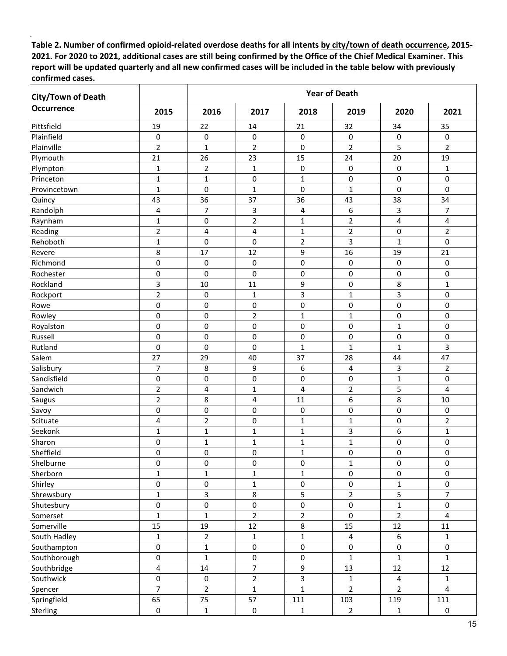| <b>City/Town of Death</b> |                         | <b>Year of Death</b> |                |                |                |                |                |  |
|---------------------------|-------------------------|----------------------|----------------|----------------|----------------|----------------|----------------|--|
| <b>Occurrence</b>         | 2015                    | 2016                 | 2017           | 2018           | 2019           | 2020           | 2021           |  |
| Pittsfield                | 19                      | 22                   | 14             | 21             | 32             | 34             | 35             |  |
| Plainfield                | 0                       | 0                    | 0              | $\pmb{0}$      | 0              | 0              | 0              |  |
| Plainville                | $\overline{2}$          | $\mathbf{1}$         | $\overline{2}$ | 0              | $\overline{2}$ | 5              | $\overline{2}$ |  |
| Plymouth                  | 21                      | 26                   | 23             | 15             | 24             | 20             | 19             |  |
| Plympton                  | $\mathbf 1$             | $\overline{2}$       | $\mathbf{1}$   | $\pmb{0}$      | 0              | 0              | 1              |  |
| Princeton                 | $\mathbf{1}$            | $\mathbf 1$          | $\mathbf 0$    | $\mathbf{1}$   | 0              | 0              | 0              |  |
| Provincetown              | $\mathbf{1}$            | $\mathbf 0$          | $\mathbf{1}$   | $\pmb{0}$      | $\mathbf{1}$   | 0              | 0              |  |
| Quincy                    | 43                      | 36                   | 37             | 36             | 43             | 38             | 34             |  |
| Randolph                  | 4                       | 7                    | 3              | 4              | 6              | 3              | 7              |  |
| Raynham                   | $\mathbf 1$             | 0                    | $\mathbf 2$    | 1              | $\overline{2}$ | 4              | 4              |  |
| Reading                   | $\overline{2}$          | 4                    | 4              | $\mathbf{1}$   | $\overline{2}$ | 0              | $\overline{2}$ |  |
| Rehoboth                  | 1                       | 0                    | 0              | $\overline{2}$ | 3              | 1              | 0              |  |
| Revere                    | 8                       | 17                   | 12             | 9              | 16             | 19             | 21             |  |
| Richmond                  | $\mathbf 0$             | 0                    | $\mathbf 0$    | 0              | 0              | 0              | 0              |  |
| Rochester                 | $\mathbf 0$             | $\mathbf 0$          | $\mathbf 0$    | $\pmb{0}$      | 0              | 0              | 0              |  |
| Rockland                  | 3                       | 10                   | 11             | 9              | 0              | 8              | 1              |  |
| Rockport                  | $\overline{2}$          | 0                    | $\mathbf{1}$   | 3              | $\mathbf 1$    | 3              | 0              |  |
| Rowe                      | 0                       | 0                    | $\mathbf 0$    | 0              | $\pmb{0}$      | 0              | 0              |  |
| Rowley                    | $\mathbf 0$             | 0                    | $\mathbf 2$    | $\mathbf{1}$   | $\mathbf{1}$   | 0              | 0              |  |
| Royalston                 | 0                       | 0                    | 0              | 0              | 0              | $\mathbf 1$    | 0              |  |
| Russell                   | $\pmb{0}$               | 0                    | $\pmb{0}$      | $\pmb{0}$      | 0              | 0              | 0              |  |
| Rutland                   | $\mathbf 0$             | $\mathbf 0$          | 0              | $\mathbf{1}$   | $\mathbf{1}$   | $\mathbf 1$    | 3              |  |
| Salem                     | 27                      | 29                   | 40             | 37             | 28             | 44             | 47             |  |
| Salisbury                 | $\overline{7}$          | 8                    | 9              | 6              | 4              | 3              | $\overline{2}$ |  |
| Sandisfield               | $\mathbf 0$             | $\pmb{0}$            | $\pmb{0}$      | 0              | 0              | $\mathbf 1$    | 0              |  |
| Sandwich                  | $\overline{c}$          | 4                    | $\mathbf 1$    | 4              | $\mathbf 2$    | 5              | 4              |  |
| Saugus                    | $\overline{2}$          | 8                    | 4              | 11             | 6              | 8              | 10             |  |
| Savoy                     | $\mathbf 0$             | 0                    | 0              | $\pmb{0}$      | 0              | 0              | 0              |  |
| Scituate                  | 4                       | $\overline{2}$       | 0              | 1              | $\mathbf{1}$   | 0              | 2              |  |
| Seekonk                   | $\mathbf 1$             | 1                    | $\mathbf{1}$   | $\mathbf{1}$   | 3              | 6              | 1              |  |
| Sharon                    | 0                       | 1                    | 1              | 1              | 1              | 0              | 0              |  |
| Sheffield                 | $\mathbf 0$             | $\mathbf 0$          | $\mathbf 0$    | $\mathbf{1}$   | 0              | $\mathbf 0$    | 0              |  |
| Shelburne                 | 0                       | 0                    | $\pmb{0}$      | $\pmb{0}$      | 1              | 0              | 0              |  |
| Sherborn                  | $\mathbf 1$             | $\mathbf{1}$         | $\mathbf 1$    | $\mathbf 1$    | 0              | 0              | 0              |  |
| Shirley                   | $\pmb{0}$               | $\pmb{0}$            | $\mathbf 1$    | $\pmb{0}$      | $\pmb{0}$      | $\mathbf 1$    | 0              |  |
| Shrewsbury                | $\mathbf{1}$            | $\mathbf{3}$         | $\,8\,$        | 5              | $\overline{2}$ | 5              | $\overline{7}$ |  |
| Shutesbury                | $\pmb{0}$               | $\pmb{0}$            | $\pmb{0}$      | $\pmb{0}$      | 0              | $\mathbf 1$    | 0              |  |
| Somerset                  | $\mathbf 1$             | $\mathbf 1$          | $\overline{2}$ | $\overline{2}$ | $\pmb{0}$      | $\overline{2}$ | 4              |  |
| Somerville                | 15                      | 19                   | 12             | 8              | 15             | 12             | $11\,$         |  |
| South Hadley              | $\mathbf{1}$            | $\overline{2}$       | $1\,$          | $\mathbf{1}$   | 4              | 6              | $\mathbf{1}$   |  |
| Southampton               | $\pmb{0}$               | $\mathbf 1$          | $\pmb{0}$      | $\pmb{0}$      | $\pmb{0}$      | 0              | 0              |  |
| Southborough              | $\pmb{0}$               | $\mathbf{1}$         | $\pmb{0}$      | $\pmb{0}$      | $\mathbf{1}$   | $\mathbf{1}$   | $\mathbf{1}$   |  |
| Southbridge               | $\overline{\mathbf{4}}$ | 14                   | $\overline{7}$ | 9              | 13             | 12             | $12\,$         |  |
| Southwick                 | $\pmb{0}$               | $\pmb{0}$            | $\mathbf 2$    | 3              | $\mathbf 1$    | 4              | 1              |  |
| Spencer                   | $\overline{7}$          | $\overline{2}$       | $\mathbf{1}$   | $\mathbf{1}$   | $\overline{2}$ | $\overline{2}$ | $\overline{4}$ |  |
| Springfield               | 65                      | 75                   | 57             | 111            | 103            | 119            | 111            |  |
| Sterling                  | $\pmb{0}$               | $\mathbf 1$          | $\pmb{0}$      | $\mathbf{1}$   | $\overline{2}$ | $\mathbf{1}$   | $\mathbf 0$    |  |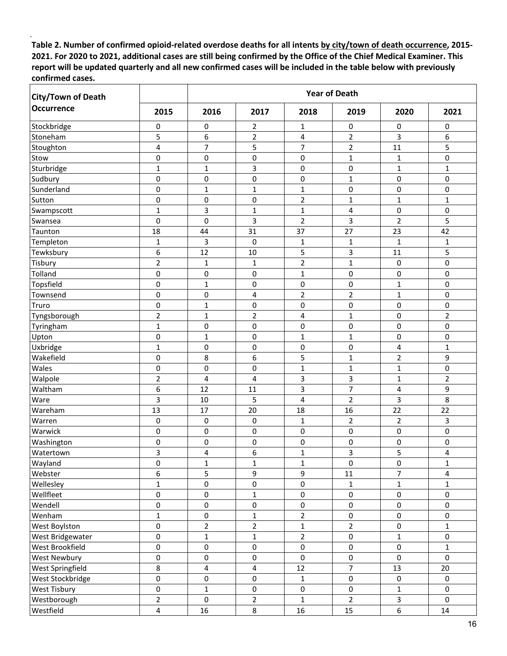| <b>City/Town of Death</b> |                | <b>Year of Death</b> |                |                     |                |                |                |
|---------------------------|----------------|----------------------|----------------|---------------------|----------------|----------------|----------------|
| <b>Occurrence</b>         | 2015           | 2016                 | 2017           | 2018                | 2019           | 2020           | 2021           |
| Stockbridge               | 0              | 0                    | 2              | 1                   | 0              | 0              | 0              |
| Stoneham                  | 5              | 6                    | $\mathbf 2$    | 4                   | $\overline{2}$ | 3              | 6              |
| Stoughton                 | 4              | 7                    | 5              | 7                   | $\overline{2}$ | 11             | 5              |
| Stow                      | 0              | 0                    | 0              | 0                   | $\mathbf{1}$   | 1              | 0              |
| Sturbridge                | 1              | 1                    | 3              | 0                   | 0              | $\mathbf{1}$   | 1              |
| Sudbury                   | $\mathbf 0$    | $\mathbf 0$          | $\pmb{0}$      | 0                   | $\mathbf 1$    | $\mathbf 0$    | 0              |
| Sunderland                | 0              | 1                    | $\mathbf{1}$   | $\mathbf{1}$        | 0              | 0              | 0              |
| Sutton                    | 0              | $\pmb{0}$            | 0              | $\overline{2}$      | $\mathbf 1$    | $\mathbf 1$    | $\mathbf{1}$   |
| Swampscott                | $\mathbf{1}$   | 3                    | $\mathbf{1}$   | $\mathbf{1}$        | 4              | 0              | 0              |
| Swansea                   | $\mathbf 0$    | $\mathbf 0$          | $\mathsf{3}$   | $\overline{2}$      | 3              | $\overline{2}$ | 5              |
| Taunton                   | 18             | 44                   | 31             | 37                  | 27             | 23             | 42             |
| Templeton                 | $\mathbf{1}$   | 3                    | $\pmb{0}$      | $\mathbf 1$         | $\mathbf{1}$   | $\mathbf 1$    | 1              |
| Tewksbury                 | 6              | 12                   | 10             | 5                   | 3              | 11             | 5              |
| Tisbury                   | $\overline{2}$ | 1                    | $\mathbf{1}$   | $\overline{2}$      | $\mathbf 1$    | 0              | 0              |
| Tolland                   | 0              | 0                    | 0              | $\mathbf{1}$        | 0              | 0              | 0              |
| Topsfield                 | 0              | $\mathbf{1}$         | 0              | $\pmb{0}$           | 0              | $\mathbf{1}$   | 0              |
| Townsend                  | $\pmb{0}$      | $\pmb{0}$            | 4              | $\overline{c}$      | $\mathbf 2$    | $\mathbf{1}$   | 0              |
| Truro                     | 0              | 1                    | 0              | $\pmb{0}$           | 0              | 0              | 0              |
| Tyngsborough              | $\overline{2}$ | $\mathbf{1}$         | $\mathbf 2$    | 4                   | $\mathbf{1}$   | 0              | $\overline{2}$ |
| Tyringham                 | 1              | 0                    | 0              | 0                   | 0              | 0              | 0              |
| Upton                     | 0              | 1                    | 0              | $\mathbf{1}$        | $\mathbf{1}$   | 0              | 0              |
| Uxbridge                  | 1              | 0                    | 0              | 0                   | 0              | 4              | $\mathbf{1}$   |
| Wakefield                 | $\mathbf 0$    | 8                    | 6              | 5                   | $\mathbf 1$    | $\overline{2}$ | 9              |
| Wales                     | 0              | 0                    | 0              | $\mathbf{1}$        | $\mathbf{1}$   | $\mathbf{1}$   | 0              |
| Walpole                   | $\overline{c}$ | 4                    | 4              | 3                   | 3              | $\mathbf{1}$   | $\overline{2}$ |
| Waltham                   | 6              | 12                   | 11             | 3                   | $\overline{7}$ | 4              | 9              |
| Ware                      | 3              | 10                   | 5              | 4                   | $\overline{2}$ | 3              | 8              |
| Wareham                   | 13             | 17                   | 20             | 18                  | 16             | 22             | 22             |
| Warren                    | 0              | $\pmb{0}$            | $\pmb{0}$      | $\mathbf{1}$        | $\overline{2}$ | $\overline{2}$ | 3              |
| Warwick                   | 0              | 0                    | 0              | 0                   | 0              | 0              | 0              |
| Washington                | $\mathbf 0$    | $\mathbf 0$          | 0              | 0                   | 0              | 0              | 0              |
| Watertown                 | 3              | 4                    | 6              | $\mathbf{1}$        | 3              | 5              | 4              |
| Wayland                   | $\pmb{0}$      | $\mathbf{1}$         | $\mathbf 1$    | $\mathbf 1$         | $\pmb{0}$      | 0              | $\mathbf{1}$   |
| Webster                   | 6              | 5                    | 9              | 9                   | $11\,$         | $\overline{7}$ | 4              |
| Wellesley                 | 1              | $\pmb{0}$            | $\pmb{0}$      | $\pmb{0}$           | $\mathbf{1}$   | $\mathbf{1}$   | 1              |
| Wellfleet                 | $\pmb{0}$      | $\pmb{0}$            | $\mathbf{1}$   | $\pmb{0}$           | 0              | 0              | 0              |
| Wendell                   | $\pmb{0}$      | $\pmb{0}$            | $\pmb{0}$      | $\mathsf{O}\xspace$ | 0              | 0              | 0              |
| Wenham                    | $\mathbf{1}$   | $\pmb{0}$            | $\mathbf{1}$   | $\overline{2}$      | $\pmb{0}$      | 0              | 0              |
| West Boylston             | $\pmb{0}$      | $\overline{2}$       | $\overline{2}$ | $\mathbf{1}$        | $\overline{2}$ | 0              | $\mathbf{1}$   |
| West Bridgewater          | $\mathbf 0$    | $\mathbf{1}$         | $\mathbf{1}$   | $\overline{2}$      | 0              | $\mathbf{1}$   | $\mathsf{O}$   |
| West Brookfield           | $\mathsf 0$    | $\mathsf 0$          | $\pmb{0}$      | $\pmb{0}$           | 0              | 0              | $\mathbf{1}$   |
| West Newbury              | $\pmb{0}$      | $\pmb{0}$            | $\pmb{0}$      | $\pmb{0}$           | 0              | $\mathbf 0$    | $\mathsf{O}$   |
| <b>West Springfield</b>   | $\,8\,$        | $\pmb{4}$            | $\pmb{4}$      | $12\,$              | $\overline{7}$ | 13             | 20             |
| West Stockbridge          | $\pmb{0}$      | $\pmb{0}$            | $\pmb{0}$      | $\mathbf{1}$        | $\pmb{0}$      | $\mathbf 0$    | 0              |
| West Tisbury              | $\mathsf 0$    | $\mathbf{1}$         | $\pmb{0}$      | $\pmb{0}$           | 0              | $\mathbf{1}$   | 0              |
| Westborough               | $\overline{2}$ | $\mathbf 0$          | $\overline{2}$ | $\mathbf{1}$        | $\overline{2}$ | 3              | $\mathsf{O}$   |
| Westfield                 | $\overline{4}$ | 16                   | 8              | 16                  | 15             | 6              | 14             |